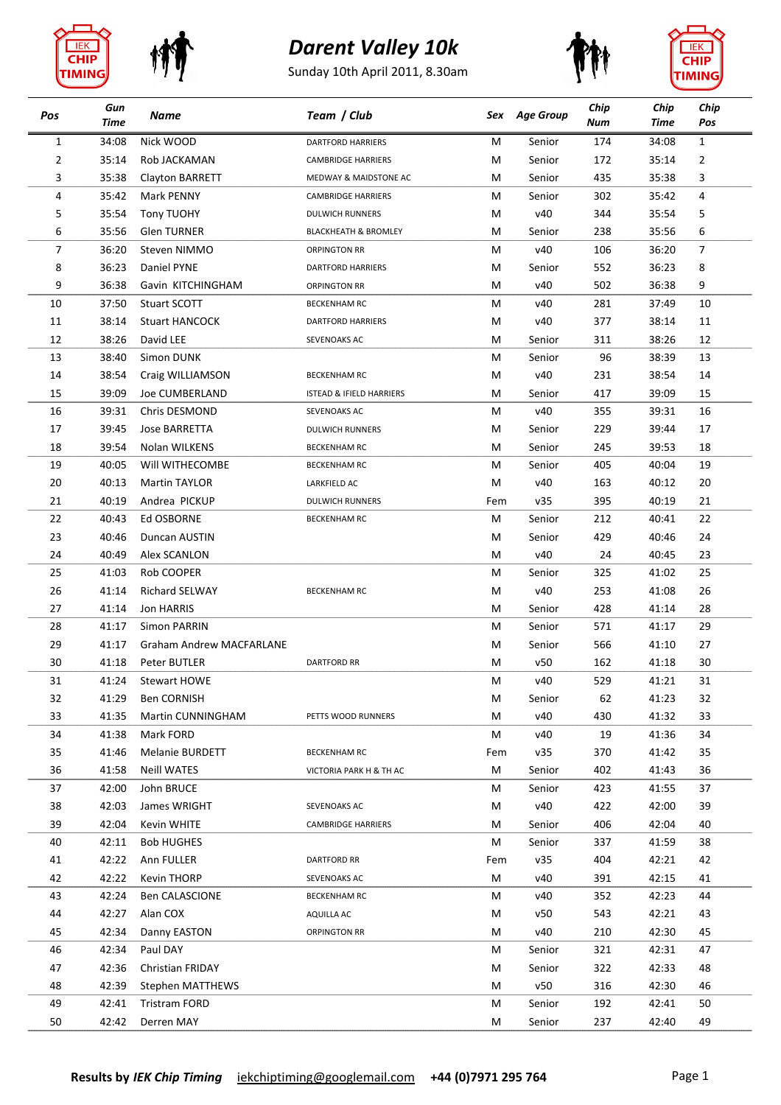







| Pos            | Gun<br>Time | Name                            | Team / Club                         | Sex    | <b>Age Group</b> | Chip<br>Num | Chip<br>Time | Chip<br>Pos    |
|----------------|-------------|---------------------------------|-------------------------------------|--------|------------------|-------------|--------------|----------------|
| 1              | 34:08       | Nick WOOD                       | <b>DARTFORD HARRIERS</b>            | M      | Senior           | 174         | 34:08        | $\mathbf{1}$   |
| 2              | 35:14       | Rob JACKAMAN                    | <b>CAMBRIDGE HARRIERS</b>           | M      | Senior           | 172         | 35:14        | 2              |
| 3              | 35:38       | Clayton BARRETT                 | MEDWAY & MAIDSTONE AC               | М      | Senior           | 435         | 35:38        | 3              |
| 4              | 35:42       | Mark PENNY                      | <b>CAMBRIDGE HARRIERS</b>           | M      | Senior           | 302         | 35:42        | 4              |
| 5              | 35:54       | <b>Tony TUOHY</b>               | <b>DULWICH RUNNERS</b>              | M      | v40              | 344         | 35:54        | 5              |
| 6              | 35:56       | <b>Glen TURNER</b>              | <b>BLACKHEATH &amp; BROMLEY</b>     | M      | Senior           | 238         | 35:56        | 6              |
| $\overline{7}$ | 36:20       | Steven NIMMO                    | <b>ORPINGTON RR</b>                 | M      | v40              | 106         | 36:20        | $\overline{7}$ |
| 8              | 36:23       | Daniel PYNE                     | <b>DARTFORD HARRIERS</b>            | М      | Senior           | 552         | 36:23        | 8              |
| 9              | 36:38       | Gavin KITCHINGHAM               | <b>ORPINGTON RR</b>                 | M      | v40              | 502         | 36:38        | 9              |
| 10             | 37:50       | Stuart SCOTT                    | <b>BECKENHAM RC</b>                 | M      | v40              | 281         | 37:49        | 10             |
| 11             | 38:14       | <b>Stuart HANCOCK</b>           | <b>DARTFORD HARRIERS</b>            | M      | v40              | 377         | 38:14        | 11             |
| 12             | 38:26       | David LEE                       | SEVENOAKS AC                        | М      | Senior           | 311         | 38:26        | 12             |
| 13             | 38:40       | Simon DUNK                      |                                     | М      | Senior           | 96          | 38:39        | 13             |
| 14             | 38:54       | Craig WILLIAMSON                | <b>BECKENHAM RC</b>                 | М      | v40              | 231         | 38:54        | 14             |
| 15             | 39:09       | <b>Joe CUMBERLAND</b>           | <b>ISTEAD &amp; IFIELD HARRIERS</b> | M      | Senior           | 417         | 39:09        | 15             |
| 16             | 39:31       | Chris DESMOND                   | SEVENOAKS AC                        | M      | v40              | 355         | 39:31        | 16             |
| 17             | 39:45       | <b>Jose BARRETTA</b>            | <b>DULWICH RUNNERS</b>              | М      | Senior           | 229         | 39:44        | 17             |
| 18             | 39:54       | Nolan WILKENS                   | <b>BECKENHAM RC</b>                 | M      | Senior           | 245         | 39:53        | 18             |
| 19             | 40:05       | Will WITHECOMBE                 | <b>BECKENHAM RC</b>                 | M      | Senior           | 405         | 40:04        | 19             |
| 20             | 40:13       | <b>Martin TAYLOR</b>            | LARKFIELD AC                        | M      | v40              | 163         | 40:12        | 20             |
| 21             | 40:19       | Andrea PICKUP                   | <b>DULWICH RUNNERS</b>              | Fem    | v35              | 395         | 40:19        | 21             |
| 22             | 40:43       | Ed OSBORNE                      | <b>BECKENHAM RC</b>                 | M      | Senior           | 212         | 40:41        | 22             |
| 23             | 40:46       | Duncan AUSTIN                   |                                     | М      | Senior           | 429         | 40:46        | 24             |
| 24             | 40:49       | Alex SCANLON                    |                                     | M      | v40              | 24          | 40:45        | 23             |
| 25             | 41:03       | Rob COOPER                      |                                     | M      | Senior           | 325         | 41:02        | 25             |
| 26             | 41:14       | <b>Richard SELWAY</b>           | <b>BECKENHAM RC</b>                 | M      | v40              | 253         | 41:08        | 26             |
| 27             | 41:14       | Jon HARRIS                      |                                     | M      | Senior           | 428         | 41:14        | 28             |
| 28             | 41:17       | <b>Simon PARRIN</b>             |                                     | M      | Senior           | 571         | 41:17        | 29             |
| 29             | 41:17       | <b>Graham Andrew MACFARLANE</b> |                                     | M      | Senior           | 566         | 41:10        | 27             |
| 30             | 41:18       | Peter BUTLER                    | <b>DARTFORD RR</b>                  | M      | v50              | 162         | 41:18        | 30             |
| 31             | 41:24       | Stewart HOWE                    |                                     | M      | v40              | 529         | 41:21        | 31             |
| 32             | 41:29       | <b>Ben CORNISH</b>              |                                     | M      | Senior           | 62          | 41:23        | 32             |
| 33             | 41:35       | Martin CUNNINGHAM               | PETTS WOOD RUNNERS                  | М      | v40              | 430         | 41:32        | 33             |
| 34             | 41:38       | Mark FORD                       |                                     | M      | v40              | 19          | 41:36        | 34             |
| 35             | 41:46       | Melanie BURDETT                 | <b>BECKENHAM RC</b>                 | Fem    | v35              | 370         | 41:42        | 35             |
| 36             | 41:58       | <b>Neill WATES</b>              | VICTORIA PARK H & TH AC             | M      | Senior           | 402         | 41:43        | 36             |
| 37             | 42:00       | John BRUCE                      |                                     | M      | Senior           | 423         | 41:55        | 37             |
| 38             | 42:03       | James WRIGHT                    | SEVENOAKS AC                        | M      | v40              | 422         | 42:00        | 39             |
| 39             | 42:04       | Kevin WHITE                     | <b>CAMBRIDGE HARRIERS</b>           | M      | Senior           | 406         | 42:04        | 40             |
| 40             | 42:11       | <b>Bob HUGHES</b>               |                                     | M      | Senior           | 337         | 41:59        | 38             |
| 41             | 42:22       | Ann FULLER                      | <b>DARTFORD RR</b>                  | Fem    | v35              | 404         | 42:21        | 42             |
| 42             | 42:22       | <b>Kevin THORP</b>              |                                     |        | v40              | 391         | 42:15        | 41             |
| 43             | 42:24       | <b>Ben CALASCIONE</b>           | SEVENOAKS AC                        | M<br>M | v40              | 352         | 42:23        | 44             |
|                |             |                                 | <b>BECKENHAM RC</b>                 |        |                  |             |              |                |
| 44             | 42:27       | Alan COX                        | AQUILLA AC                          | M      | v50              | 543         | 42:21        | 43             |
| 45             | 42:34       | Danny EASTON                    | <b>ORPINGTON RR</b>                 | M      | v40              | 210         | 42:30        | 45             |
| 46             | 42:34       | Paul DAY                        |                                     | M      | Senior           | 321         | 42:31        | 47             |
| 47             | 42:36       | <b>Christian FRIDAY</b>         |                                     | M      | Senior           | 322         | 42:33        | 48             |
| 48             | 42:39       | Stephen MATTHEWS                |                                     | M      | v50              | 316         | 42:30        | 46             |
| 49             | 42:41       | <b>Tristram FORD</b>            |                                     | M      | Senior           | 192         | 42:41        | 50             |
| 50             | 42:42       | Derren MAY                      |                                     | M      | Senior           | 237         | 42:40        | 49             |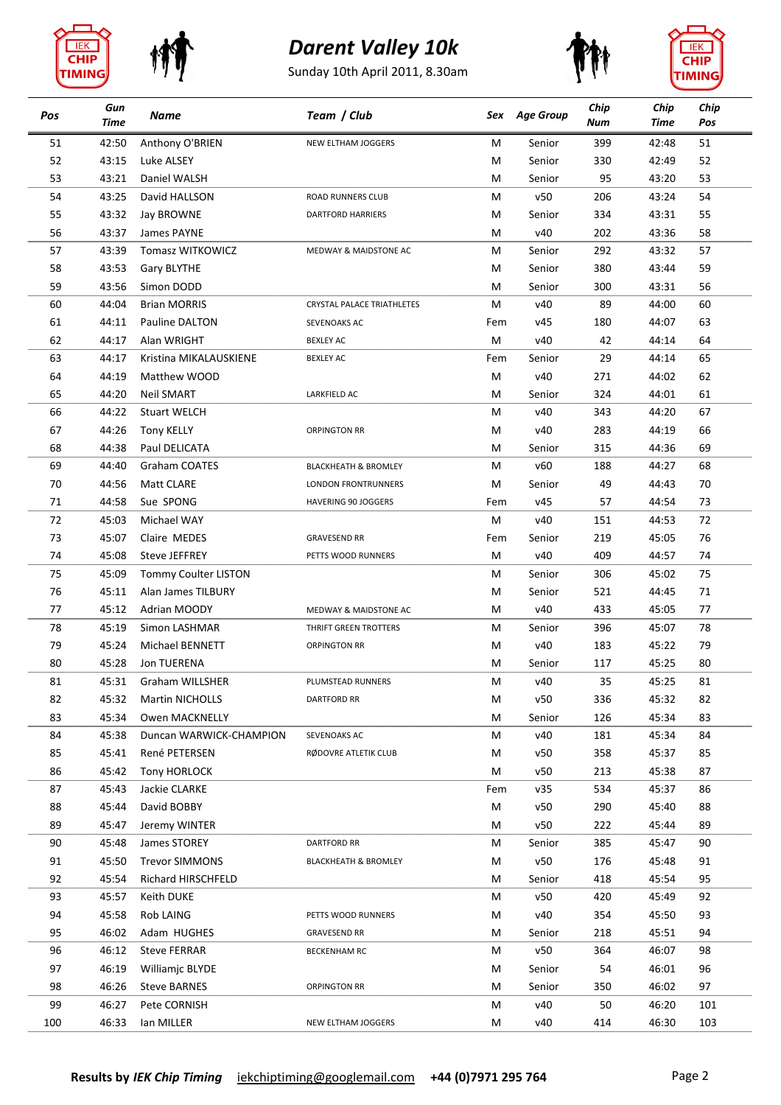









| Pos | Gun<br><b>Time</b> | Name                    | Team / Club                       |     | Sex Age Group | Chip<br>Num | Chip<br><b>Time</b> | Chip<br>Pos |
|-----|--------------------|-------------------------|-----------------------------------|-----|---------------|-------------|---------------------|-------------|
| 51  | 42:50              | Anthony O'BRIEN         | NEW ELTHAM JOGGERS                | М   | Senior        | 399         | 42:48               | 51          |
| 52  | 43:15              | Luke ALSEY              |                                   | м   | Senior        | 330         | 42:49               | 52          |
| 53  | 43:21              | Daniel WALSH            |                                   | M   | Senior        | 95          | 43:20               | 53          |
| 54  | 43:25              | David HALLSON           | ROAD RUNNERS CLUB                 | м   | v50           | 206         | 43:24               | 54          |
| 55  | 43:32              | Jay BROWNE              | <b>DARTFORD HARRIERS</b>          | м   | Senior        | 334         | 43:31               | 55          |
| 56  | 43:37              | James PAYNE             |                                   | м   | v40           | 202         | 43:36               | 58          |
| 57  | 43:39              | <b>Tomasz WITKOWICZ</b> | MEDWAY & MAIDSTONE AC             | м   | Senior        | 292         | 43:32               | 57          |
| 58  | 43:53              | Gary BLYTHE             |                                   | M   | Senior        | 380         | 43:44               | 59          |
| 59  | 43:56              | Simon DODD              |                                   | M   | Senior        | 300         | 43:31               | 56          |
| 60  | 44:04              | <b>Brian MORRIS</b>     | <b>CRYSTAL PALACE TRIATHLETES</b> | M   | v40           | 89          | 44:00               | 60          |
| 61  | 44:11              | Pauline DALTON          | SEVENOAKS AC                      | Fem | v45           | 180         | 44:07               | 63          |
| 62  | 44:17              | Alan WRIGHT             | <b>BEXLEY AC</b>                  | M   | v40           | 42          | 44:14               | 64          |
| 63  | 44:17              | Kristina MIKALAUSKIENE  | <b>BEXLEY AC</b>                  | Fem | Senior        | 29          | 44:14               | 65          |
| 64  | 44:19              | Matthew WOOD            |                                   | м   | v40           | 271         | 44:02               | 62          |
| 65  | 44:20              | <b>Neil SMART</b>       | LARKFIELD AC                      | м   | Senior        | 324         | 44:01               | 61          |
| 66  | 44:22              | <b>Stuart WELCH</b>     |                                   | M   | v40           | 343         | 44:20               | 67          |
| 67  | 44:26              | <b>Tony KELLY</b>       | <b>ORPINGTON RR</b>               | M   | v40           | 283         | 44:19               | 66          |
| 68  | 44:38              | Paul DELICATA           |                                   | м   | Senior        | 315         | 44:36               | 69          |
| 69  | 44:40              | Graham COATES           | <b>BLACKHEATH &amp; BROMLEY</b>   | м   | v60           | 188         | 44:27               | 68          |
| 70  | 44:56              | <b>Matt CLARE</b>       | <b>LONDON FRONTRUNNERS</b>        | м   | Senior        | 49          | 44:43               | 70          |
| 71  | 44:58              | Sue SPONG               | <b>HAVERING 90 JOGGERS</b>        | Fem | v45           | 57          | 44:54               | 73          |
| 72  | 45:03              | Michael WAY             |                                   | М   | v40           | 151         | 44:53               | 72          |
| 73  |                    | Claire MEDES            |                                   |     |               |             |                     | 76          |
|     | 45:07              |                         | <b>GRAVESEND RR</b>               | Fem | Senior        | 219         | 45:05               |             |
| 74  | 45:08              | <b>Steve JEFFREY</b>    | PETTS WOOD RUNNERS                | М   | v40           | 409         | 44:57               | 74          |
| 75  | 45:09              | Tommy Coulter LISTON    |                                   | м   | Senior        | 306         | 45:02               | 75          |
| 76  | 45:11              | Alan James TILBURY      |                                   | M   | Senior        | 521         | 44:45               | 71          |
| 77  | 45:12              | Adrian MOODY            | MEDWAY & MAIDSTONE AC             | м   | v40           | 433         | 45:05               | 77          |
| 78  | 45:19              | Simon LASHMAR           | THRIFT GREEN TROTTERS             | м   | Senior        | 396         | 45:07               | 78          |
| 79  | 45:24              | Michael BENNETT         | <b>ORPINGTON RR</b>               | M   | v40           | 183         | 45:22               | 79          |
| 80  | 45:28              | Jon TUERENA             |                                   | M   | Senior        | 117         | 45:25               | 80          |
| 81  | 45:31              | Graham WILLSHER         | PLUMSTEAD RUNNERS                 | M   | v40           | 35          | 45:25               | 81          |
| 82  | 45:32              | <b>Martin NICHOLLS</b>  | <b>DARTFORD RR</b>                | M   | v50           | 336         | 45:32               | 82          |
| 83  | 45:34              | Owen MACKNELLY          |                                   | M   | Senior        | 126         | 45:34               | 83          |
| 84  | 45:38              | Duncan WARWICK-CHAMPION | SEVENOAKS AC                      | M   | v40           | 181         | 45:34               | 84          |
| 85  | 45:41              | René PETERSEN           | RØDOVRE ATLETIK CLUB              | M   | v50           | 358         | 45:37               | 85          |
| 86  | 45:42              | Tony HORLOCK            |                                   | м   | v50           | 213         | 45:38               | 87          |
| 87  | 45:43              | Jackie CLARKE           |                                   | Fem | v35           | 534         | 45:37               | 86          |
| 88  | 45:44              | David BOBBY             |                                   | M   | v50           | 290         | 45:40               | 88          |
| 89  | 45:47              | Jeremy WINTER           |                                   | м   | v50           | 222         | 45:44               | 89          |
| 90  | 45:48              | James STOREY            | <b>DARTFORD RR</b>                | M   | Senior        | 385         | 45:47               | 90          |
| 91  | 45:50              | <b>Trevor SIMMONS</b>   | <b>BLACKHEATH &amp; BROMLEY</b>   | M   | v50           | 176         | 45:48               | 91          |
| 92  | 45:54              | Richard HIRSCHFELD      |                                   | M   | Senior        | 418         | 45:54               | 95          |
| 93  | 45:57              | Keith DUKE              |                                   | M   | v50           | 420         | 45:49               | 92          |
| 94  | 45:58              | Rob LAING               | PETTS WOOD RUNNERS                | M   | v40           | 354         | 45:50               | 93          |
| 95  | 46:02              | Adam HUGHES             | <b>GRAVESEND RR</b>               | M   | Senior        | 218         | 45:51               | 94          |
| 96  | 46:12              | <b>Steve FERRAR</b>     | <b>BECKENHAM RC</b>               | M   | v50           | 364         | 46:07               | 98          |
| 97  | 46:19              | Williamjc BLYDE         |                                   | M   | Senior        | 54          | 46:01               | 96          |
| 98  | 46:26              | <b>Steve BARNES</b>     | <b>ORPINGTON RR</b>               | M   | Senior        | 350         | 46:02               | 97          |
| 99  | 46:27              | Pete CORNISH            |                                   | M   | v40           | 50          | 46:20               | 101         |
| 100 | 46:33              | lan MILLER              | NEW ELTHAM JOGGERS                | M   | v40           | 414         | 46:30               | 103         |
|     |                    |                         |                                   |     |               |             |                     |             |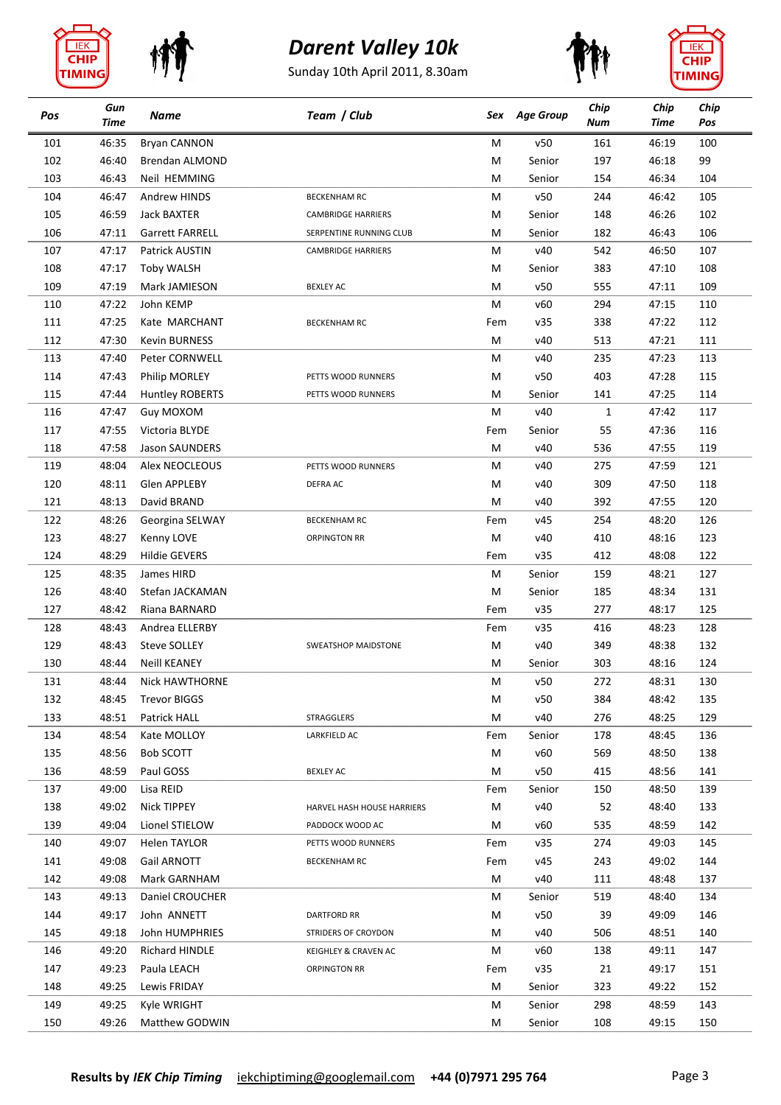









| Pos | Gun<br><b>Time</b> | Name                             | Team / Club                | Sex | <b>Age Group</b> | Chip<br>Num  | Chip<br><b>Time</b> | Chip<br>Pos |
|-----|--------------------|----------------------------------|----------------------------|-----|------------------|--------------|---------------------|-------------|
| 101 | 46:35              | <b>Bryan CANNON</b>              |                            | М   | v50              | 161          | 46:19               | 100         |
| 102 | 46:40              | Brendan ALMOND                   |                            | M   | Senior           | 197          | 46:18               | 99          |
| 103 | 46:43              | Neil HEMMING                     |                            | M   | Senior           | 154          | 46:34               | 104         |
| 104 | 46:47              | Andrew HINDS                     | <b>BECKENHAM RC</b>        | М   | v50              | 244          | 46:42               | 105         |
| 105 | 46:59              | Jack BAXTER                      | <b>CAMBRIDGE HARRIERS</b>  | м   | Senior           | 148          | 46:26               | 102         |
| 106 | 47:11              | <b>Garrett FARRELL</b>           | SERPENTINE RUNNING CLUB    | M   | Senior           | 182          | 46:43               | 106         |
| 107 | 47:17              | Patrick AUSTIN                   | <b>CAMBRIDGE HARRIERS</b>  | м   | v40              | 542          | 46:50               | 107         |
| 108 | 47:17              | <b>Toby WALSH</b>                |                            | M   | Senior           | 383          | 47:10               | 108         |
| 109 | 47:19              | Mark JAMIESON                    | <b>BEXLEY AC</b>           | M   | v50              | 555          | 47:11               | 109         |
| 110 | 47:22              | John KEMP                        |                            | M   | v60              | 294          | 47:15               | 110         |
| 111 | 47:25              | Kate MARCHANT                    | <b>BECKENHAM RC</b>        | Fem | v35              | 338          | 47:22               | 112         |
| 112 | 47:30              | <b>Kevin BURNESS</b>             |                            | М   | v40              | 513          | 47:21               | 111         |
| 113 | 47:40              | Peter CORNWELL                   |                            | M   | v40              | 235          | 47:23               | 113         |
| 114 | 47:43              | <b>Philip MORLEY</b>             | PETTS WOOD RUNNERS         | м   | v50              | 403          | 47:28               | 115         |
| 115 | 47:44              | <b>Huntley ROBERTS</b>           | PETTS WOOD RUNNERS         | м   | Senior           | 141          | 47:25               | 114         |
| 116 | 47:47              | Guy MOXOM                        |                            | M   | v40              | $\mathbf{1}$ | 47:42               | 117         |
| 117 | 47:55              | Victoria BLYDE                   |                            | Fem | Senior           | 55           | 47:36               | 116         |
| 118 | 47:58              | Jason SAUNDERS                   |                            | М   | v40              | 536          | 47:55               | 119         |
| 119 | 48:04              | Alex NEOCLEOUS                   | PETTS WOOD RUNNERS         | м   | v40              | 275          | 47:59               | 121         |
| 120 | 48:11              | Glen APPLEBY                     | DEFRA AC                   | M   | v40              | 309          | 47:50               | 118         |
| 121 | 48:13              | David BRAND                      |                            | м   | v40              | 392          | 47:55               | 120         |
| 122 | 48:26              | Georgina SELWAY                  | <b>BECKENHAM RC</b>        | Fem | v45              | 254          | 48:20               | 126         |
| 123 | 48:27              | Kenny LOVE                       | <b>ORPINGTON RR</b>        | М   | v40              | 410          | 48:16               | 123         |
| 124 | 48:29              | <b>Hildie GEVERS</b>             |                            | Fem | v35              | 412          | 48:08               | 122         |
| 125 | 48:35              | James HIRD                       |                            | М   | Senior           | 159          | 48:21               | 127         |
| 126 | 48:40              | Stefan JACKAMAN                  |                            | M   | Senior           | 185          | 48:34               | 131         |
| 127 | 48:42              | Riana BARNARD                    |                            | Fem | v35              | 277          | 48:17               | 125         |
| 128 | 48:43              | Andrea ELLERBY                   |                            | Fem | v35              | 416          | 48:23               | 128         |
| 129 | 48:43              | <b>Steve SOLLEY</b>              | <b>SWEATSHOP MAIDSTONE</b> | М   | v40              | 349          | 48:38               | 132         |
| 130 | 48:44              | <b>Neill KEANEY</b>              |                            | M   | Senior           | 303          | 48:16               | 124         |
| 131 | 48:44              | <b>Nick HAWTHORNE</b>            |                            | M   | v50              | 272          | 48:31               | 130         |
| 132 | 48:45              | <b>Trevor BIGGS</b>              |                            | М   | v50              | 384          | 48:42               | 135         |
| 133 | 48:51              | Patrick HALL                     | STRAGGLERS                 | М   | v40              | 276          | 48:25               | 129         |
| 134 | 48:54              | Kate MOLLOY                      | LARKFIELD AC               | Fem | Senior           | 178          | 48:45               | 136         |
| 135 | 48:56              | <b>Bob SCOTT</b>                 |                            | М   | v60              | 569          | 48:50               | 138         |
| 136 | 48:59              | Paul GOSS                        | <b>BEXLEY AC</b>           | М   | v50              | 415          | 48:56               | 141         |
| 137 | 49:00              | Lisa REID                        |                            | Fem | Senior           | 150          | 48:50               | 139         |
| 138 | 49:02              | Nick TIPPEY                      | HARVEL HASH HOUSE HARRIERS | М   | v40              | 52           | 48:40               | 133         |
| 139 | 49:04              | Lionel STIELOW                   | PADDOCK WOOD AC            | М   | v60              | 535          | 48:59               | 142         |
| 140 | 49:07              | Helen TAYLOR                     | PETTS WOOD RUNNERS         | Fem | v35              | 274          | 49:03               | 145         |
| 141 | 49:08              | Gail ARNOTT                      | <b>BECKENHAM RC</b>        | Fem | v45              | 243          | 49:02               | 144         |
| 142 | 49:08              | Mark GARNHAM                     |                            | M   | v40              | 111          | 48:48               | 137         |
| 143 | 49:13              | Daniel CROUCHER                  |                            | М   | Senior           | 519          | 48:40               | 134         |
| 144 | 49:17              | John ANNETT                      | <b>DARTFORD RR</b>         | M   | v50              | 39           | 49:09               | 146         |
| 145 | 49:18              |                                  |                            | м   | v40              | 506          |                     | 140         |
| 146 | 49:20              | John HUMPHRIES<br>Richard HINDLE | STRIDERS OF CROYDON        | М   | v60              | 138          | 48:51<br>49:11      | 147         |
| 147 | 49:23              |                                  | KEIGHLEY & CRAVEN AC       |     |                  |              |                     | 151         |
| 148 |                    | Paula LEACH                      | <b>ORPINGTON RR</b>        | Fem | v35              | 21<br>323    | 49:17               | 152         |
|     | 49:25              | Lewis FRIDAY                     |                            | М   | Senior           |              | 49:22               |             |
| 149 | 49:25              | Kyle WRIGHT                      |                            | М   | Senior           | 298          | 48:59               | 143         |
| 150 | 49:26              | Matthew GODWIN                   |                            | М   | Senior           | 108          | 49:15               | 150         |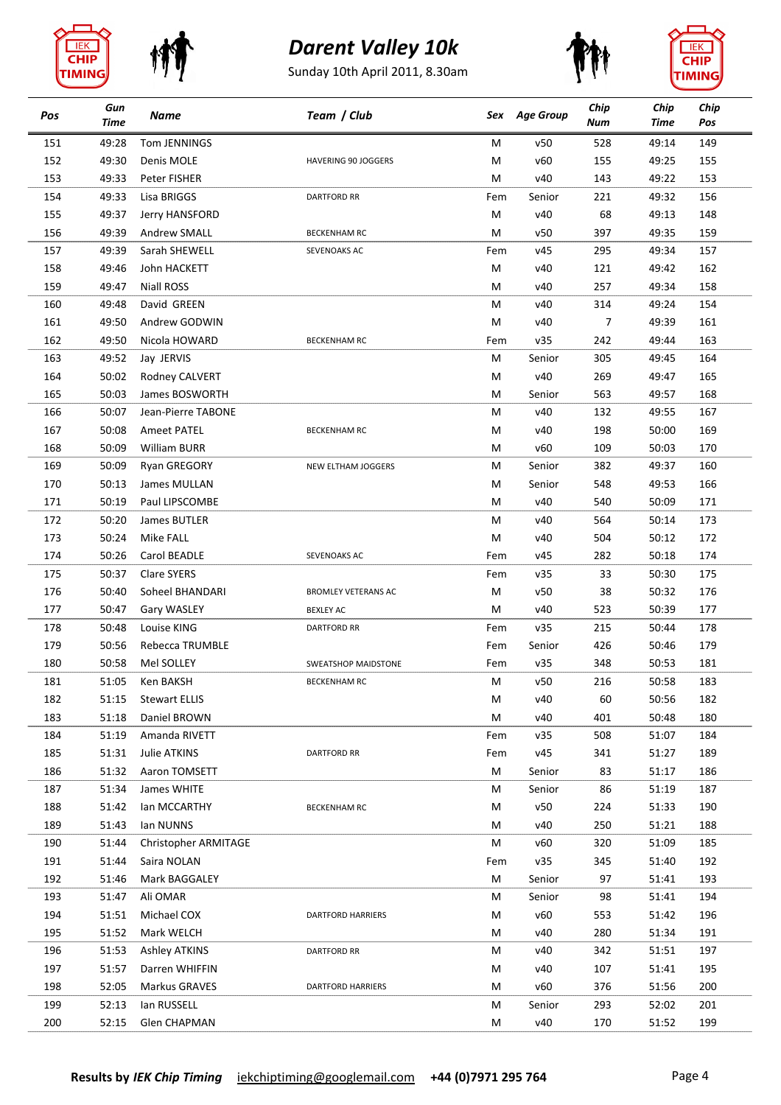









| 528<br>151<br>49:28<br>Tom JENNINGS<br>M<br>v50<br>49:14<br>149<br>152<br>v60<br>155<br>155<br>49:30<br>Denis MOLE<br>M<br>49:25<br><b>HAVERING 90 JOGGERS</b><br>153<br>v40<br>153<br>49:33<br>Peter FISHER<br>M<br>143<br>49:22<br>49:33<br>221<br>156<br>154<br>Lisa BRIGGS<br>Senior<br>49:32<br><b>DARTFORD RR</b><br>Fem<br>155<br>49:37<br>М<br>v40<br>68<br>49:13<br>148<br>Jerry HANSFORD<br>159<br>156<br>49:39<br><b>Andrew SMALL</b><br>M<br>v50<br>397<br>49:35<br><b>BECKENHAM RC</b><br>157<br>49:39<br>Sarah SHEWELL<br>v45<br>295<br>49:34<br>157<br>SEVENOAKS AC<br>Fem<br>158<br>49:46<br>M<br>v40<br>121<br>162<br>John HACKETT<br>49:42<br>v40<br>257<br>158<br>159<br>49:47<br><b>Niall ROSS</b><br>M<br>49:34<br>49:48<br>v40<br>314<br>154<br>160<br>David GREEN<br>M<br>49:24<br>161<br>49:50<br>v40<br>49:39<br>161<br>Andrew GODWIN<br>M<br>7<br>242<br>162<br>49:50<br>v35<br>49:44<br>163<br>Nicola HOWARD<br><b>BECKENHAM RC</b><br>Fem<br>163<br>49:52<br>Jay JERVIS<br>Senior<br>305<br>49:45<br>164<br>М<br>164<br>50:02<br>Rodney CALVERT<br>v40<br>269<br>49:47<br>165<br>M<br>563<br>168<br>165<br>50:03<br>James BOSWORTH<br>M<br>49:57<br>Senior<br>v40<br>132<br>167<br>166<br>50:07<br>Jean-Pierre TABONE<br>M<br>49:55<br>167<br>50:08<br>v40<br>198<br>169<br>Ameet PATEL<br>50:00<br>M<br><b>BECKENHAM RC</b><br>168<br>50:09<br>William BURR<br>v60<br>109<br>170<br>M<br>50:03<br>382<br>169<br>50:09<br>M<br>Senior<br>49:37<br>160<br><b>Ryan GREGORY</b><br>NEW ELTHAM JOGGERS<br>170<br>50:13<br>James MULLAN<br>548<br>49:53<br>166<br>м<br>Senior<br>171<br>50:19<br>Paul LIPSCOMBE<br>v40<br>540<br>50:09<br>171<br>м<br>172<br>50:20<br>James BUTLER<br>М<br>v40<br>564<br>50:14<br>173<br>504<br>173<br>50:24<br>Mike FALL<br>M<br>v40<br>50:12<br>172<br>v45<br>282<br>174<br>174<br>50:26<br>Carol BEADLE<br>SEVENOAKS AC<br>50:18<br>Fem<br>175<br>50:37<br><b>Clare SYERS</b><br>v35<br>33<br>50:30<br>175<br>Fem<br>38<br>176<br>50:40<br>Soheel BHANDARI<br>M<br>v50<br>50:32<br>176<br>BROMLEY VETERANS AC<br>v40<br>177<br>177<br>50:47<br>M<br>523<br>50:39<br>Gary WASLEY<br><b>BEXLEY AC</b><br>178<br>50:48<br>Louise KING<br>v35<br>215<br>50:44<br>178<br><b>DARTFORD RR</b><br>Fem<br>179<br>179<br>50:56<br>426<br>Rebecca TRUMBLE<br>Fem<br>Senior<br>50:46<br>180<br>50:58<br>Mel SOLLEY<br>v35<br>348<br>50:53<br>181<br><b>SWEATSHOP MAIDSTONE</b><br>Fem<br>181<br>51:05<br>v50<br>216<br>50:58<br>183<br>М<br>Ken BAKSH<br>BECKENHAM RC<br>182<br><b>Stewart ELLIS</b><br>v40<br>60<br>50:56<br>182<br>51:15<br>М<br>183<br>v40<br>401<br>180<br>51:18<br>Daniel BROWN<br>М<br>50:48<br>508<br>184<br>51:19<br>v35<br>51:07<br>184<br>Amanda RIVETT<br>Fem<br>185<br>51:31<br>Julie ATKINS<br>v45<br>341<br>51:27<br>189<br><b>DARTFORD RR</b><br>Fem<br>83<br>186<br>51:32<br>Aaron TOMSETT<br>Senior<br>51:17<br>186<br>М<br>86<br>187<br>187<br>51:34<br>M<br>Senior<br>51:19<br>James WHITE<br>188<br>51:42<br>v50<br>224<br>51:33<br>190<br>lan MCCARTHY<br><b>BECKENHAM RC</b><br>М<br>189<br>51:43<br>Ian NUNNS<br>v40<br>250<br>51:21<br>188<br>М<br>190<br>51:44<br>Christopher ARMITAGE<br>v60<br>320<br>51:09<br>185<br>М<br>191<br>51:44<br>v35<br>345<br>192<br>Saira NOLAN<br>Fem<br>51:40<br>192<br>193<br>51:46<br>Senior<br>97<br>51:41<br>Mark BAGGALEY<br>М<br>193<br>98<br>194<br>51:47<br>Ali OMAR<br>51:41<br>М<br>Senior<br>194<br>553<br>51:51<br>Michael COX<br>v60<br>196<br>M<br>51:42<br><b>DARTFORD HARRIERS</b><br>v40<br>280<br>195<br>51:52<br>Mark WELCH<br>51:34<br>191<br>м<br>196<br>51:53<br><b>Ashley ATKINS</b><br>v40<br>342<br>197<br><b>DARTFORD RR</b><br>М<br>51:51<br>197<br>51:57<br>v40<br>107<br>195<br>Darren WHIFFIN<br>М<br>51:41<br>198<br>52:05<br>Markus GRAVES<br>М<br>v60<br>376<br>200<br>51:56<br><b>DARTFORD HARRIERS</b><br>199<br>52:13<br>lan RUSSELL<br>Senior<br>293<br>52:02<br>201<br>М<br>200<br>199<br>52:15<br>Glen CHAPMAN<br>M<br>v40<br>170<br>51:52 | Pos | Gun<br><b>Time</b> | Name | Team / Club | Sex | <b>Age Group</b> | Chip<br>Num | Chip<br>Time | Chip<br>Pos |
|----------------------------------------------------------------------------------------------------------------------------------------------------------------------------------------------------------------------------------------------------------------------------------------------------------------------------------------------------------------------------------------------------------------------------------------------------------------------------------------------------------------------------------------------------------------------------------------------------------------------------------------------------------------------------------------------------------------------------------------------------------------------------------------------------------------------------------------------------------------------------------------------------------------------------------------------------------------------------------------------------------------------------------------------------------------------------------------------------------------------------------------------------------------------------------------------------------------------------------------------------------------------------------------------------------------------------------------------------------------------------------------------------------------------------------------------------------------------------------------------------------------------------------------------------------------------------------------------------------------------------------------------------------------------------------------------------------------------------------------------------------------------------------------------------------------------------------------------------------------------------------------------------------------------------------------------------------------------------------------------------------------------------------------------------------------------------------------------------------------------------------------------------------------------------------------------------------------------------------------------------------------------------------------------------------------------------------------------------------------------------------------------------------------------------------------------------------------------------------------------------------------------------------------------------------------------------------------------------------------------------------------------------------------------------------------------------------------------------------------------------------------------------------------------------------------------------------------------------------------------------------------------------------------------------------------------------------------------------------------------------------------------------------------------------------------------------------------------------------------------------------------------------------------------------------------------------------------------------------------------------------------------------------------------------------------------------------------------------------------------------------------------------------------------------------------------------------------------------------------------------------------------------------------------------------------------------------------------------------------------------------------------------------------------------------------------------------------------------------------------------------------------------------------------------------------------------------------------------------------------------------------------------------------------------------------------------------------------------------------------------------|-----|--------------------|------|-------------|-----|------------------|-------------|--------------|-------------|
|                                                                                                                                                                                                                                                                                                                                                                                                                                                                                                                                                                                                                                                                                                                                                                                                                                                                                                                                                                                                                                                                                                                                                                                                                                                                                                                                                                                                                                                                                                                                                                                                                                                                                                                                                                                                                                                                                                                                                                                                                                                                                                                                                                                                                                                                                                                                                                                                                                                                                                                                                                                                                                                                                                                                                                                                                                                                                                                                                                                                                                                                                                                                                                                                                                                                                                                                                                                                                                                                                                                                                                                                                                                                                                                                                                                                                                                                                                                                                                                                          |     |                    |      |             |     |                  |             |              |             |
|                                                                                                                                                                                                                                                                                                                                                                                                                                                                                                                                                                                                                                                                                                                                                                                                                                                                                                                                                                                                                                                                                                                                                                                                                                                                                                                                                                                                                                                                                                                                                                                                                                                                                                                                                                                                                                                                                                                                                                                                                                                                                                                                                                                                                                                                                                                                                                                                                                                                                                                                                                                                                                                                                                                                                                                                                                                                                                                                                                                                                                                                                                                                                                                                                                                                                                                                                                                                                                                                                                                                                                                                                                                                                                                                                                                                                                                                                                                                                                                                          |     |                    |      |             |     |                  |             |              |             |
|                                                                                                                                                                                                                                                                                                                                                                                                                                                                                                                                                                                                                                                                                                                                                                                                                                                                                                                                                                                                                                                                                                                                                                                                                                                                                                                                                                                                                                                                                                                                                                                                                                                                                                                                                                                                                                                                                                                                                                                                                                                                                                                                                                                                                                                                                                                                                                                                                                                                                                                                                                                                                                                                                                                                                                                                                                                                                                                                                                                                                                                                                                                                                                                                                                                                                                                                                                                                                                                                                                                                                                                                                                                                                                                                                                                                                                                                                                                                                                                                          |     |                    |      |             |     |                  |             |              |             |
|                                                                                                                                                                                                                                                                                                                                                                                                                                                                                                                                                                                                                                                                                                                                                                                                                                                                                                                                                                                                                                                                                                                                                                                                                                                                                                                                                                                                                                                                                                                                                                                                                                                                                                                                                                                                                                                                                                                                                                                                                                                                                                                                                                                                                                                                                                                                                                                                                                                                                                                                                                                                                                                                                                                                                                                                                                                                                                                                                                                                                                                                                                                                                                                                                                                                                                                                                                                                                                                                                                                                                                                                                                                                                                                                                                                                                                                                                                                                                                                                          |     |                    |      |             |     |                  |             |              |             |
|                                                                                                                                                                                                                                                                                                                                                                                                                                                                                                                                                                                                                                                                                                                                                                                                                                                                                                                                                                                                                                                                                                                                                                                                                                                                                                                                                                                                                                                                                                                                                                                                                                                                                                                                                                                                                                                                                                                                                                                                                                                                                                                                                                                                                                                                                                                                                                                                                                                                                                                                                                                                                                                                                                                                                                                                                                                                                                                                                                                                                                                                                                                                                                                                                                                                                                                                                                                                                                                                                                                                                                                                                                                                                                                                                                                                                                                                                                                                                                                                          |     |                    |      |             |     |                  |             |              |             |
|                                                                                                                                                                                                                                                                                                                                                                                                                                                                                                                                                                                                                                                                                                                                                                                                                                                                                                                                                                                                                                                                                                                                                                                                                                                                                                                                                                                                                                                                                                                                                                                                                                                                                                                                                                                                                                                                                                                                                                                                                                                                                                                                                                                                                                                                                                                                                                                                                                                                                                                                                                                                                                                                                                                                                                                                                                                                                                                                                                                                                                                                                                                                                                                                                                                                                                                                                                                                                                                                                                                                                                                                                                                                                                                                                                                                                                                                                                                                                                                                          |     |                    |      |             |     |                  |             |              |             |
|                                                                                                                                                                                                                                                                                                                                                                                                                                                                                                                                                                                                                                                                                                                                                                                                                                                                                                                                                                                                                                                                                                                                                                                                                                                                                                                                                                                                                                                                                                                                                                                                                                                                                                                                                                                                                                                                                                                                                                                                                                                                                                                                                                                                                                                                                                                                                                                                                                                                                                                                                                                                                                                                                                                                                                                                                                                                                                                                                                                                                                                                                                                                                                                                                                                                                                                                                                                                                                                                                                                                                                                                                                                                                                                                                                                                                                                                                                                                                                                                          |     |                    |      |             |     |                  |             |              |             |
|                                                                                                                                                                                                                                                                                                                                                                                                                                                                                                                                                                                                                                                                                                                                                                                                                                                                                                                                                                                                                                                                                                                                                                                                                                                                                                                                                                                                                                                                                                                                                                                                                                                                                                                                                                                                                                                                                                                                                                                                                                                                                                                                                                                                                                                                                                                                                                                                                                                                                                                                                                                                                                                                                                                                                                                                                                                                                                                                                                                                                                                                                                                                                                                                                                                                                                                                                                                                                                                                                                                                                                                                                                                                                                                                                                                                                                                                                                                                                                                                          |     |                    |      |             |     |                  |             |              |             |
|                                                                                                                                                                                                                                                                                                                                                                                                                                                                                                                                                                                                                                                                                                                                                                                                                                                                                                                                                                                                                                                                                                                                                                                                                                                                                                                                                                                                                                                                                                                                                                                                                                                                                                                                                                                                                                                                                                                                                                                                                                                                                                                                                                                                                                                                                                                                                                                                                                                                                                                                                                                                                                                                                                                                                                                                                                                                                                                                                                                                                                                                                                                                                                                                                                                                                                                                                                                                                                                                                                                                                                                                                                                                                                                                                                                                                                                                                                                                                                                                          |     |                    |      |             |     |                  |             |              |             |
|                                                                                                                                                                                                                                                                                                                                                                                                                                                                                                                                                                                                                                                                                                                                                                                                                                                                                                                                                                                                                                                                                                                                                                                                                                                                                                                                                                                                                                                                                                                                                                                                                                                                                                                                                                                                                                                                                                                                                                                                                                                                                                                                                                                                                                                                                                                                                                                                                                                                                                                                                                                                                                                                                                                                                                                                                                                                                                                                                                                                                                                                                                                                                                                                                                                                                                                                                                                                                                                                                                                                                                                                                                                                                                                                                                                                                                                                                                                                                                                                          |     |                    |      |             |     |                  |             |              |             |
|                                                                                                                                                                                                                                                                                                                                                                                                                                                                                                                                                                                                                                                                                                                                                                                                                                                                                                                                                                                                                                                                                                                                                                                                                                                                                                                                                                                                                                                                                                                                                                                                                                                                                                                                                                                                                                                                                                                                                                                                                                                                                                                                                                                                                                                                                                                                                                                                                                                                                                                                                                                                                                                                                                                                                                                                                                                                                                                                                                                                                                                                                                                                                                                                                                                                                                                                                                                                                                                                                                                                                                                                                                                                                                                                                                                                                                                                                                                                                                                                          |     |                    |      |             |     |                  |             |              |             |
|                                                                                                                                                                                                                                                                                                                                                                                                                                                                                                                                                                                                                                                                                                                                                                                                                                                                                                                                                                                                                                                                                                                                                                                                                                                                                                                                                                                                                                                                                                                                                                                                                                                                                                                                                                                                                                                                                                                                                                                                                                                                                                                                                                                                                                                                                                                                                                                                                                                                                                                                                                                                                                                                                                                                                                                                                                                                                                                                                                                                                                                                                                                                                                                                                                                                                                                                                                                                                                                                                                                                                                                                                                                                                                                                                                                                                                                                                                                                                                                                          |     |                    |      |             |     |                  |             |              |             |
|                                                                                                                                                                                                                                                                                                                                                                                                                                                                                                                                                                                                                                                                                                                                                                                                                                                                                                                                                                                                                                                                                                                                                                                                                                                                                                                                                                                                                                                                                                                                                                                                                                                                                                                                                                                                                                                                                                                                                                                                                                                                                                                                                                                                                                                                                                                                                                                                                                                                                                                                                                                                                                                                                                                                                                                                                                                                                                                                                                                                                                                                                                                                                                                                                                                                                                                                                                                                                                                                                                                                                                                                                                                                                                                                                                                                                                                                                                                                                                                                          |     |                    |      |             |     |                  |             |              |             |
|                                                                                                                                                                                                                                                                                                                                                                                                                                                                                                                                                                                                                                                                                                                                                                                                                                                                                                                                                                                                                                                                                                                                                                                                                                                                                                                                                                                                                                                                                                                                                                                                                                                                                                                                                                                                                                                                                                                                                                                                                                                                                                                                                                                                                                                                                                                                                                                                                                                                                                                                                                                                                                                                                                                                                                                                                                                                                                                                                                                                                                                                                                                                                                                                                                                                                                                                                                                                                                                                                                                                                                                                                                                                                                                                                                                                                                                                                                                                                                                                          |     |                    |      |             |     |                  |             |              |             |
|                                                                                                                                                                                                                                                                                                                                                                                                                                                                                                                                                                                                                                                                                                                                                                                                                                                                                                                                                                                                                                                                                                                                                                                                                                                                                                                                                                                                                                                                                                                                                                                                                                                                                                                                                                                                                                                                                                                                                                                                                                                                                                                                                                                                                                                                                                                                                                                                                                                                                                                                                                                                                                                                                                                                                                                                                                                                                                                                                                                                                                                                                                                                                                                                                                                                                                                                                                                                                                                                                                                                                                                                                                                                                                                                                                                                                                                                                                                                                                                                          |     |                    |      |             |     |                  |             |              |             |
|                                                                                                                                                                                                                                                                                                                                                                                                                                                                                                                                                                                                                                                                                                                                                                                                                                                                                                                                                                                                                                                                                                                                                                                                                                                                                                                                                                                                                                                                                                                                                                                                                                                                                                                                                                                                                                                                                                                                                                                                                                                                                                                                                                                                                                                                                                                                                                                                                                                                                                                                                                                                                                                                                                                                                                                                                                                                                                                                                                                                                                                                                                                                                                                                                                                                                                                                                                                                                                                                                                                                                                                                                                                                                                                                                                                                                                                                                                                                                                                                          |     |                    |      |             |     |                  |             |              |             |
|                                                                                                                                                                                                                                                                                                                                                                                                                                                                                                                                                                                                                                                                                                                                                                                                                                                                                                                                                                                                                                                                                                                                                                                                                                                                                                                                                                                                                                                                                                                                                                                                                                                                                                                                                                                                                                                                                                                                                                                                                                                                                                                                                                                                                                                                                                                                                                                                                                                                                                                                                                                                                                                                                                                                                                                                                                                                                                                                                                                                                                                                                                                                                                                                                                                                                                                                                                                                                                                                                                                                                                                                                                                                                                                                                                                                                                                                                                                                                                                                          |     |                    |      |             |     |                  |             |              |             |
|                                                                                                                                                                                                                                                                                                                                                                                                                                                                                                                                                                                                                                                                                                                                                                                                                                                                                                                                                                                                                                                                                                                                                                                                                                                                                                                                                                                                                                                                                                                                                                                                                                                                                                                                                                                                                                                                                                                                                                                                                                                                                                                                                                                                                                                                                                                                                                                                                                                                                                                                                                                                                                                                                                                                                                                                                                                                                                                                                                                                                                                                                                                                                                                                                                                                                                                                                                                                                                                                                                                                                                                                                                                                                                                                                                                                                                                                                                                                                                                                          |     |                    |      |             |     |                  |             |              |             |
|                                                                                                                                                                                                                                                                                                                                                                                                                                                                                                                                                                                                                                                                                                                                                                                                                                                                                                                                                                                                                                                                                                                                                                                                                                                                                                                                                                                                                                                                                                                                                                                                                                                                                                                                                                                                                                                                                                                                                                                                                                                                                                                                                                                                                                                                                                                                                                                                                                                                                                                                                                                                                                                                                                                                                                                                                                                                                                                                                                                                                                                                                                                                                                                                                                                                                                                                                                                                                                                                                                                                                                                                                                                                                                                                                                                                                                                                                                                                                                                                          |     |                    |      |             |     |                  |             |              |             |
|                                                                                                                                                                                                                                                                                                                                                                                                                                                                                                                                                                                                                                                                                                                                                                                                                                                                                                                                                                                                                                                                                                                                                                                                                                                                                                                                                                                                                                                                                                                                                                                                                                                                                                                                                                                                                                                                                                                                                                                                                                                                                                                                                                                                                                                                                                                                                                                                                                                                                                                                                                                                                                                                                                                                                                                                                                                                                                                                                                                                                                                                                                                                                                                                                                                                                                                                                                                                                                                                                                                                                                                                                                                                                                                                                                                                                                                                                                                                                                                                          |     |                    |      |             |     |                  |             |              |             |
|                                                                                                                                                                                                                                                                                                                                                                                                                                                                                                                                                                                                                                                                                                                                                                                                                                                                                                                                                                                                                                                                                                                                                                                                                                                                                                                                                                                                                                                                                                                                                                                                                                                                                                                                                                                                                                                                                                                                                                                                                                                                                                                                                                                                                                                                                                                                                                                                                                                                                                                                                                                                                                                                                                                                                                                                                                                                                                                                                                                                                                                                                                                                                                                                                                                                                                                                                                                                                                                                                                                                                                                                                                                                                                                                                                                                                                                                                                                                                                                                          |     |                    |      |             |     |                  |             |              |             |
|                                                                                                                                                                                                                                                                                                                                                                                                                                                                                                                                                                                                                                                                                                                                                                                                                                                                                                                                                                                                                                                                                                                                                                                                                                                                                                                                                                                                                                                                                                                                                                                                                                                                                                                                                                                                                                                                                                                                                                                                                                                                                                                                                                                                                                                                                                                                                                                                                                                                                                                                                                                                                                                                                                                                                                                                                                                                                                                                                                                                                                                                                                                                                                                                                                                                                                                                                                                                                                                                                                                                                                                                                                                                                                                                                                                                                                                                                                                                                                                                          |     |                    |      |             |     |                  |             |              |             |
|                                                                                                                                                                                                                                                                                                                                                                                                                                                                                                                                                                                                                                                                                                                                                                                                                                                                                                                                                                                                                                                                                                                                                                                                                                                                                                                                                                                                                                                                                                                                                                                                                                                                                                                                                                                                                                                                                                                                                                                                                                                                                                                                                                                                                                                                                                                                                                                                                                                                                                                                                                                                                                                                                                                                                                                                                                                                                                                                                                                                                                                                                                                                                                                                                                                                                                                                                                                                                                                                                                                                                                                                                                                                                                                                                                                                                                                                                                                                                                                                          |     |                    |      |             |     |                  |             |              |             |
|                                                                                                                                                                                                                                                                                                                                                                                                                                                                                                                                                                                                                                                                                                                                                                                                                                                                                                                                                                                                                                                                                                                                                                                                                                                                                                                                                                                                                                                                                                                                                                                                                                                                                                                                                                                                                                                                                                                                                                                                                                                                                                                                                                                                                                                                                                                                                                                                                                                                                                                                                                                                                                                                                                                                                                                                                                                                                                                                                                                                                                                                                                                                                                                                                                                                                                                                                                                                                                                                                                                                                                                                                                                                                                                                                                                                                                                                                                                                                                                                          |     |                    |      |             |     |                  |             |              |             |
|                                                                                                                                                                                                                                                                                                                                                                                                                                                                                                                                                                                                                                                                                                                                                                                                                                                                                                                                                                                                                                                                                                                                                                                                                                                                                                                                                                                                                                                                                                                                                                                                                                                                                                                                                                                                                                                                                                                                                                                                                                                                                                                                                                                                                                                                                                                                                                                                                                                                                                                                                                                                                                                                                                                                                                                                                                                                                                                                                                                                                                                                                                                                                                                                                                                                                                                                                                                                                                                                                                                                                                                                                                                                                                                                                                                                                                                                                                                                                                                                          |     |                    |      |             |     |                  |             |              |             |
|                                                                                                                                                                                                                                                                                                                                                                                                                                                                                                                                                                                                                                                                                                                                                                                                                                                                                                                                                                                                                                                                                                                                                                                                                                                                                                                                                                                                                                                                                                                                                                                                                                                                                                                                                                                                                                                                                                                                                                                                                                                                                                                                                                                                                                                                                                                                                                                                                                                                                                                                                                                                                                                                                                                                                                                                                                                                                                                                                                                                                                                                                                                                                                                                                                                                                                                                                                                                                                                                                                                                                                                                                                                                                                                                                                                                                                                                                                                                                                                                          |     |                    |      |             |     |                  |             |              |             |
|                                                                                                                                                                                                                                                                                                                                                                                                                                                                                                                                                                                                                                                                                                                                                                                                                                                                                                                                                                                                                                                                                                                                                                                                                                                                                                                                                                                                                                                                                                                                                                                                                                                                                                                                                                                                                                                                                                                                                                                                                                                                                                                                                                                                                                                                                                                                                                                                                                                                                                                                                                                                                                                                                                                                                                                                                                                                                                                                                                                                                                                                                                                                                                                                                                                                                                                                                                                                                                                                                                                                                                                                                                                                                                                                                                                                                                                                                                                                                                                                          |     |                    |      |             |     |                  |             |              |             |
|                                                                                                                                                                                                                                                                                                                                                                                                                                                                                                                                                                                                                                                                                                                                                                                                                                                                                                                                                                                                                                                                                                                                                                                                                                                                                                                                                                                                                                                                                                                                                                                                                                                                                                                                                                                                                                                                                                                                                                                                                                                                                                                                                                                                                                                                                                                                                                                                                                                                                                                                                                                                                                                                                                                                                                                                                                                                                                                                                                                                                                                                                                                                                                                                                                                                                                                                                                                                                                                                                                                                                                                                                                                                                                                                                                                                                                                                                                                                                                                                          |     |                    |      |             |     |                  |             |              |             |
|                                                                                                                                                                                                                                                                                                                                                                                                                                                                                                                                                                                                                                                                                                                                                                                                                                                                                                                                                                                                                                                                                                                                                                                                                                                                                                                                                                                                                                                                                                                                                                                                                                                                                                                                                                                                                                                                                                                                                                                                                                                                                                                                                                                                                                                                                                                                                                                                                                                                                                                                                                                                                                                                                                                                                                                                                                                                                                                                                                                                                                                                                                                                                                                                                                                                                                                                                                                                                                                                                                                                                                                                                                                                                                                                                                                                                                                                                                                                                                                                          |     |                    |      |             |     |                  |             |              |             |
|                                                                                                                                                                                                                                                                                                                                                                                                                                                                                                                                                                                                                                                                                                                                                                                                                                                                                                                                                                                                                                                                                                                                                                                                                                                                                                                                                                                                                                                                                                                                                                                                                                                                                                                                                                                                                                                                                                                                                                                                                                                                                                                                                                                                                                                                                                                                                                                                                                                                                                                                                                                                                                                                                                                                                                                                                                                                                                                                                                                                                                                                                                                                                                                                                                                                                                                                                                                                                                                                                                                                                                                                                                                                                                                                                                                                                                                                                                                                                                                                          |     |                    |      |             |     |                  |             |              |             |
|                                                                                                                                                                                                                                                                                                                                                                                                                                                                                                                                                                                                                                                                                                                                                                                                                                                                                                                                                                                                                                                                                                                                                                                                                                                                                                                                                                                                                                                                                                                                                                                                                                                                                                                                                                                                                                                                                                                                                                                                                                                                                                                                                                                                                                                                                                                                                                                                                                                                                                                                                                                                                                                                                                                                                                                                                                                                                                                                                                                                                                                                                                                                                                                                                                                                                                                                                                                                                                                                                                                                                                                                                                                                                                                                                                                                                                                                                                                                                                                                          |     |                    |      |             |     |                  |             |              |             |
|                                                                                                                                                                                                                                                                                                                                                                                                                                                                                                                                                                                                                                                                                                                                                                                                                                                                                                                                                                                                                                                                                                                                                                                                                                                                                                                                                                                                                                                                                                                                                                                                                                                                                                                                                                                                                                                                                                                                                                                                                                                                                                                                                                                                                                                                                                                                                                                                                                                                                                                                                                                                                                                                                                                                                                                                                                                                                                                                                                                                                                                                                                                                                                                                                                                                                                                                                                                                                                                                                                                                                                                                                                                                                                                                                                                                                                                                                                                                                                                                          |     |                    |      |             |     |                  |             |              |             |
|                                                                                                                                                                                                                                                                                                                                                                                                                                                                                                                                                                                                                                                                                                                                                                                                                                                                                                                                                                                                                                                                                                                                                                                                                                                                                                                                                                                                                                                                                                                                                                                                                                                                                                                                                                                                                                                                                                                                                                                                                                                                                                                                                                                                                                                                                                                                                                                                                                                                                                                                                                                                                                                                                                                                                                                                                                                                                                                                                                                                                                                                                                                                                                                                                                                                                                                                                                                                                                                                                                                                                                                                                                                                                                                                                                                                                                                                                                                                                                                                          |     |                    |      |             |     |                  |             |              |             |
|                                                                                                                                                                                                                                                                                                                                                                                                                                                                                                                                                                                                                                                                                                                                                                                                                                                                                                                                                                                                                                                                                                                                                                                                                                                                                                                                                                                                                                                                                                                                                                                                                                                                                                                                                                                                                                                                                                                                                                                                                                                                                                                                                                                                                                                                                                                                                                                                                                                                                                                                                                                                                                                                                                                                                                                                                                                                                                                                                                                                                                                                                                                                                                                                                                                                                                                                                                                                                                                                                                                                                                                                                                                                                                                                                                                                                                                                                                                                                                                                          |     |                    |      |             |     |                  |             |              |             |
|                                                                                                                                                                                                                                                                                                                                                                                                                                                                                                                                                                                                                                                                                                                                                                                                                                                                                                                                                                                                                                                                                                                                                                                                                                                                                                                                                                                                                                                                                                                                                                                                                                                                                                                                                                                                                                                                                                                                                                                                                                                                                                                                                                                                                                                                                                                                                                                                                                                                                                                                                                                                                                                                                                                                                                                                                                                                                                                                                                                                                                                                                                                                                                                                                                                                                                                                                                                                                                                                                                                                                                                                                                                                                                                                                                                                                                                                                                                                                                                                          |     |                    |      |             |     |                  |             |              |             |
|                                                                                                                                                                                                                                                                                                                                                                                                                                                                                                                                                                                                                                                                                                                                                                                                                                                                                                                                                                                                                                                                                                                                                                                                                                                                                                                                                                                                                                                                                                                                                                                                                                                                                                                                                                                                                                                                                                                                                                                                                                                                                                                                                                                                                                                                                                                                                                                                                                                                                                                                                                                                                                                                                                                                                                                                                                                                                                                                                                                                                                                                                                                                                                                                                                                                                                                                                                                                                                                                                                                                                                                                                                                                                                                                                                                                                                                                                                                                                                                                          |     |                    |      |             |     |                  |             |              |             |
|                                                                                                                                                                                                                                                                                                                                                                                                                                                                                                                                                                                                                                                                                                                                                                                                                                                                                                                                                                                                                                                                                                                                                                                                                                                                                                                                                                                                                                                                                                                                                                                                                                                                                                                                                                                                                                                                                                                                                                                                                                                                                                                                                                                                                                                                                                                                                                                                                                                                                                                                                                                                                                                                                                                                                                                                                                                                                                                                                                                                                                                                                                                                                                                                                                                                                                                                                                                                                                                                                                                                                                                                                                                                                                                                                                                                                                                                                                                                                                                                          |     |                    |      |             |     |                  |             |              |             |
|                                                                                                                                                                                                                                                                                                                                                                                                                                                                                                                                                                                                                                                                                                                                                                                                                                                                                                                                                                                                                                                                                                                                                                                                                                                                                                                                                                                                                                                                                                                                                                                                                                                                                                                                                                                                                                                                                                                                                                                                                                                                                                                                                                                                                                                                                                                                                                                                                                                                                                                                                                                                                                                                                                                                                                                                                                                                                                                                                                                                                                                                                                                                                                                                                                                                                                                                                                                                                                                                                                                                                                                                                                                                                                                                                                                                                                                                                                                                                                                                          |     |                    |      |             |     |                  |             |              |             |
|                                                                                                                                                                                                                                                                                                                                                                                                                                                                                                                                                                                                                                                                                                                                                                                                                                                                                                                                                                                                                                                                                                                                                                                                                                                                                                                                                                                                                                                                                                                                                                                                                                                                                                                                                                                                                                                                                                                                                                                                                                                                                                                                                                                                                                                                                                                                                                                                                                                                                                                                                                                                                                                                                                                                                                                                                                                                                                                                                                                                                                                                                                                                                                                                                                                                                                                                                                                                                                                                                                                                                                                                                                                                                                                                                                                                                                                                                                                                                                                                          |     |                    |      |             |     |                  |             |              |             |
|                                                                                                                                                                                                                                                                                                                                                                                                                                                                                                                                                                                                                                                                                                                                                                                                                                                                                                                                                                                                                                                                                                                                                                                                                                                                                                                                                                                                                                                                                                                                                                                                                                                                                                                                                                                                                                                                                                                                                                                                                                                                                                                                                                                                                                                                                                                                                                                                                                                                                                                                                                                                                                                                                                                                                                                                                                                                                                                                                                                                                                                                                                                                                                                                                                                                                                                                                                                                                                                                                                                                                                                                                                                                                                                                                                                                                                                                                                                                                                                                          |     |                    |      |             |     |                  |             |              |             |
|                                                                                                                                                                                                                                                                                                                                                                                                                                                                                                                                                                                                                                                                                                                                                                                                                                                                                                                                                                                                                                                                                                                                                                                                                                                                                                                                                                                                                                                                                                                                                                                                                                                                                                                                                                                                                                                                                                                                                                                                                                                                                                                                                                                                                                                                                                                                                                                                                                                                                                                                                                                                                                                                                                                                                                                                                                                                                                                                                                                                                                                                                                                                                                                                                                                                                                                                                                                                                                                                                                                                                                                                                                                                                                                                                                                                                                                                                                                                                                                                          |     |                    |      |             |     |                  |             |              |             |
|                                                                                                                                                                                                                                                                                                                                                                                                                                                                                                                                                                                                                                                                                                                                                                                                                                                                                                                                                                                                                                                                                                                                                                                                                                                                                                                                                                                                                                                                                                                                                                                                                                                                                                                                                                                                                                                                                                                                                                                                                                                                                                                                                                                                                                                                                                                                                                                                                                                                                                                                                                                                                                                                                                                                                                                                                                                                                                                                                                                                                                                                                                                                                                                                                                                                                                                                                                                                                                                                                                                                                                                                                                                                                                                                                                                                                                                                                                                                                                                                          |     |                    |      |             |     |                  |             |              |             |
|                                                                                                                                                                                                                                                                                                                                                                                                                                                                                                                                                                                                                                                                                                                                                                                                                                                                                                                                                                                                                                                                                                                                                                                                                                                                                                                                                                                                                                                                                                                                                                                                                                                                                                                                                                                                                                                                                                                                                                                                                                                                                                                                                                                                                                                                                                                                                                                                                                                                                                                                                                                                                                                                                                                                                                                                                                                                                                                                                                                                                                                                                                                                                                                                                                                                                                                                                                                                                                                                                                                                                                                                                                                                                                                                                                                                                                                                                                                                                                                                          |     |                    |      |             |     |                  |             |              |             |
|                                                                                                                                                                                                                                                                                                                                                                                                                                                                                                                                                                                                                                                                                                                                                                                                                                                                                                                                                                                                                                                                                                                                                                                                                                                                                                                                                                                                                                                                                                                                                                                                                                                                                                                                                                                                                                                                                                                                                                                                                                                                                                                                                                                                                                                                                                                                                                                                                                                                                                                                                                                                                                                                                                                                                                                                                                                                                                                                                                                                                                                                                                                                                                                                                                                                                                                                                                                                                                                                                                                                                                                                                                                                                                                                                                                                                                                                                                                                                                                                          |     |                    |      |             |     |                  |             |              |             |
|                                                                                                                                                                                                                                                                                                                                                                                                                                                                                                                                                                                                                                                                                                                                                                                                                                                                                                                                                                                                                                                                                                                                                                                                                                                                                                                                                                                                                                                                                                                                                                                                                                                                                                                                                                                                                                                                                                                                                                                                                                                                                                                                                                                                                                                                                                                                                                                                                                                                                                                                                                                                                                                                                                                                                                                                                                                                                                                                                                                                                                                                                                                                                                                                                                                                                                                                                                                                                                                                                                                                                                                                                                                                                                                                                                                                                                                                                                                                                                                                          |     |                    |      |             |     |                  |             |              |             |
|                                                                                                                                                                                                                                                                                                                                                                                                                                                                                                                                                                                                                                                                                                                                                                                                                                                                                                                                                                                                                                                                                                                                                                                                                                                                                                                                                                                                                                                                                                                                                                                                                                                                                                                                                                                                                                                                                                                                                                                                                                                                                                                                                                                                                                                                                                                                                                                                                                                                                                                                                                                                                                                                                                                                                                                                                                                                                                                                                                                                                                                                                                                                                                                                                                                                                                                                                                                                                                                                                                                                                                                                                                                                                                                                                                                                                                                                                                                                                                                                          |     |                    |      |             |     |                  |             |              |             |
|                                                                                                                                                                                                                                                                                                                                                                                                                                                                                                                                                                                                                                                                                                                                                                                                                                                                                                                                                                                                                                                                                                                                                                                                                                                                                                                                                                                                                                                                                                                                                                                                                                                                                                                                                                                                                                                                                                                                                                                                                                                                                                                                                                                                                                                                                                                                                                                                                                                                                                                                                                                                                                                                                                                                                                                                                                                                                                                                                                                                                                                                                                                                                                                                                                                                                                                                                                                                                                                                                                                                                                                                                                                                                                                                                                                                                                                                                                                                                                                                          |     |                    |      |             |     |                  |             |              |             |
|                                                                                                                                                                                                                                                                                                                                                                                                                                                                                                                                                                                                                                                                                                                                                                                                                                                                                                                                                                                                                                                                                                                                                                                                                                                                                                                                                                                                                                                                                                                                                                                                                                                                                                                                                                                                                                                                                                                                                                                                                                                                                                                                                                                                                                                                                                                                                                                                                                                                                                                                                                                                                                                                                                                                                                                                                                                                                                                                                                                                                                                                                                                                                                                                                                                                                                                                                                                                                                                                                                                                                                                                                                                                                                                                                                                                                                                                                                                                                                                                          |     |                    |      |             |     |                  |             |              |             |
|                                                                                                                                                                                                                                                                                                                                                                                                                                                                                                                                                                                                                                                                                                                                                                                                                                                                                                                                                                                                                                                                                                                                                                                                                                                                                                                                                                                                                                                                                                                                                                                                                                                                                                                                                                                                                                                                                                                                                                                                                                                                                                                                                                                                                                                                                                                                                                                                                                                                                                                                                                                                                                                                                                                                                                                                                                                                                                                                                                                                                                                                                                                                                                                                                                                                                                                                                                                                                                                                                                                                                                                                                                                                                                                                                                                                                                                                                                                                                                                                          |     |                    |      |             |     |                  |             |              |             |
|                                                                                                                                                                                                                                                                                                                                                                                                                                                                                                                                                                                                                                                                                                                                                                                                                                                                                                                                                                                                                                                                                                                                                                                                                                                                                                                                                                                                                                                                                                                                                                                                                                                                                                                                                                                                                                                                                                                                                                                                                                                                                                                                                                                                                                                                                                                                                                                                                                                                                                                                                                                                                                                                                                                                                                                                                                                                                                                                                                                                                                                                                                                                                                                                                                                                                                                                                                                                                                                                                                                                                                                                                                                                                                                                                                                                                                                                                                                                                                                                          |     |                    |      |             |     |                  |             |              |             |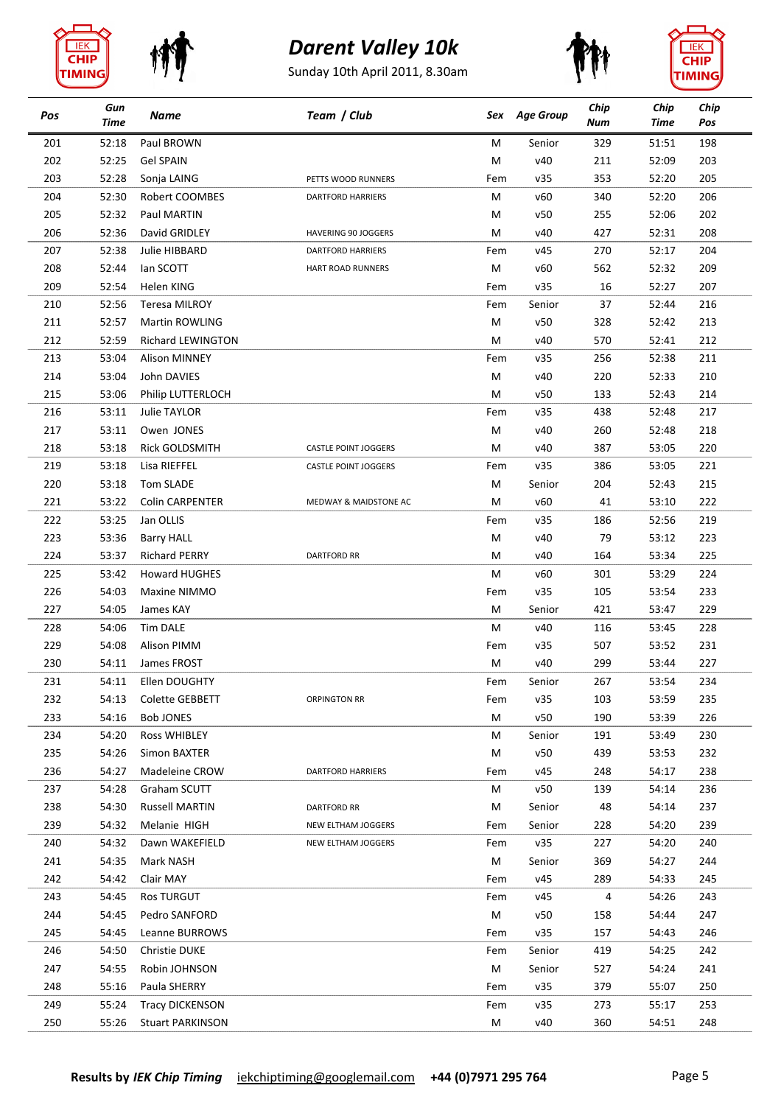









| Pos        | Gun<br><b>Time</b> | Name                    | Team / Club                 | Sex      | <b>Age Group</b> | Chip<br>Num | Chip<br>Time | Chip<br>Pos |
|------------|--------------------|-------------------------|-----------------------------|----------|------------------|-------------|--------------|-------------|
| 201        | 52:18              | Paul BROWN              |                             | м        | Senior           | 329         | 51:51        | 198         |
| 202        | 52:25              | <b>Gel SPAIN</b>        |                             | М        | v40              | 211         | 52:09        | 203         |
| 203        | 52:28              | Sonja LAING             | PETTS WOOD RUNNERS          | Fem      | v35              | 353         | 52:20        | 205         |
| 204        | 52:30              | Robert COOMBES          | <b>DARTFORD HARRIERS</b>    | М        | v60              | 340         | 52:20        | 206         |
| 205        | 52:32              | Paul MARTIN             |                             | M        | v50              | 255         | 52:06        | 202         |
| 206        | 52:36              | David GRIDLEY           | <b>HAVERING 90 JOGGERS</b>  | M        | v40              | 427         | 52:31        | 208         |
| 207        | 52:38              | Julie HIBBARD           | <b>DARTFORD HARRIERS</b>    | Fem      | v45              | 270         | 52:17        | 204         |
| 208        | 52:44              | lan SCOTT               | <b>HART ROAD RUNNERS</b>    | M        | v60              | 562         | 52:32        | 209         |
| 209        | 52:54              | Helen KING              |                             | Fem      | v35              | 16          | 52:27        | 207         |
| 210        | 52:56              | <b>Teresa MILROY</b>    |                             | Fem      | Senior           | 37          | 52:44        | 216         |
| 211        | 52:57              | Martin ROWLING          |                             | M        | v50              | 328         | 52:42        | 213         |
| 212        | 52:59              | Richard LEWINGTON       |                             | M        | v40              | 570         | 52:41        | 212         |
| 213        | 53:04              | <b>Alison MINNEY</b>    |                             | Fem      | v35              | 256         | 52:38        | 211         |
| 214        | 53:04              | John DAVIES             |                             | M        | v40              | 220         | 52:33        | 210         |
| 215        | 53:06              | Philip LUTTERLOCH       |                             | M        | v50              | 133         | 52:43        | 214         |
| 216        | 53:11              | <b>Julie TAYLOR</b>     |                             | Fem      | v35              | 438         | 52:48        | 217         |
| 217        | 53:11              | Owen JONES              |                             | M        | v40              | 260         | 52:48        | 218         |
| 218        | 53:18              | Rick GOLDSMITH          | <b>CASTLE POINT JOGGERS</b> | M        | v40              | 387         | 53:05        | 220         |
| 219        | 53:18              | Lisa RIEFFEL            | <b>CASTLE POINT JOGGERS</b> | Fem      | v35              | 386         | 53:05        | 221         |
| 220        | 53:18              | Tom SLADE               |                             | M        | Senior           | 204         | 52:43        | 215         |
| 221        | 53:22              | <b>Colin CARPENTER</b>  | MEDWAY & MAIDSTONE AC       | M        | v60              | 41          | 53:10        | 222         |
| 222        | 53:25              | Jan OLLIS               |                             | Fem      | v35              | 186         | 52:56        | 219         |
| 223        | 53:36              | <b>Barry HALL</b>       |                             | M        | v40              | 79          | 53:12        | 223         |
| 224        | 53:37              | <b>Richard PERRY</b>    | <b>DARTFORD RR</b>          | м        | v40              | 164         | 53:34        | 225         |
| 225        | 53:42              | <b>Howard HUGHES</b>    |                             | M        | v60              | 301         | 53:29        | 224         |
| 226        | 54:03              | Maxine NIMMO            |                             | Fem      | v35              | 105         | 53:54        | 233         |
| 227        | 54:05              | James KAY               |                             | M        | Senior           | 421         | 53:47        | 229         |
| 228        | 54:06              | <b>Tim DALE</b>         |                             | м        | v40              | 116         | 53:45        | 228         |
| 229        | 54:08              | Alison PIMM             |                             | Fem      | v35              | 507         | 53:52        | 231         |
| 230        | 54:11              | James FROST             |                             | M        | v40              | 299         | 53:44        | 227         |
| 231        | 54:11              | Ellen DOUGHTY           |                             | Fem      | Senior           | 267         | 53:54        | 234         |
| 232        | 54:13              | Colette GEBBETT         | <b>ORPINGTON RR</b>         | Fem      | v35              | 103         | 53:59        | 235         |
| 233        | 54:16              | Bob JONES               |                             | M        | v50              | 190         | 53:39        | 226         |
| 234        | 54:20              | Ross WHIBLEY            |                             | M        | Senior           | 191         | 53:49        | 230         |
| 235        | 54:26              | Simon BAXTER            |                             | M        | v50              | 439         | 53:53        | 232         |
| 236        | 54:27              | Madeleine CROW          | <b>DARTFORD HARRIERS</b>    | Fem      | v45              | 248         | 54:17        | 238         |
| 237        | 54:28              | Graham SCUTT            |                             | M        | v50              | 139         | 54:14        | 236         |
| 238        | 54:30              | <b>Russell MARTIN</b>   | <b>DARTFORD RR</b>          | м        | Senior           | 48          | 54:14        | 237         |
| 239        | 54:32              | Melanie HIGH            | NEW ELTHAM JOGGERS          | Fem      | Senior           | 228         | 54:20        | 239         |
| 240        | 54:32              | Dawn WAKEFIELD          | NEW ELTHAM JOGGERS          | Fem      | v35              | 227         | 54:20        | 240         |
| 241        | 54:35              | Mark NASH               |                             | M        | Senior           | 369         | 54:27        | 244         |
| 242        | 54:42              | Clair MAY               |                             | Fem      | v45              | 289         | 54:33        | 245         |
|            |                    |                         |                             |          |                  |             |              |             |
| 243<br>244 | 54:45<br>54:45     | <b>Ros TURGUT</b>       |                             | Fem<br>M | v45<br>v50       | 4<br>158    | 54:26        | 243<br>247  |
|            |                    | Pedro SANFORD           |                             |          |                  |             | 54:44        |             |
| 245        | 54:45              | Leanne BURROWS          |                             | Fem      | v35              | 157         | 54:43        | 246         |
| 246        | 54:50              | Christie DUKE           |                             | Fem      | Senior           | 419         | 54:25        | 242         |
| 247        | 54:55              | Robin JOHNSON           |                             | M        | Senior           | 527         | 54:24        | 241         |
| 248        | 55:16              | Paula SHERRY            |                             | Fem      | v35              | 379         | 55:07        | 250         |
| 249        | 55:24              | <b>Tracy DICKENSON</b>  |                             | Fem      | v35              | 273         | 55:17        | 253         |
| 250        | 55:26              | <b>Stuart PARKINSON</b> |                             | M        | v40              | 360         | 54:51        | 248         |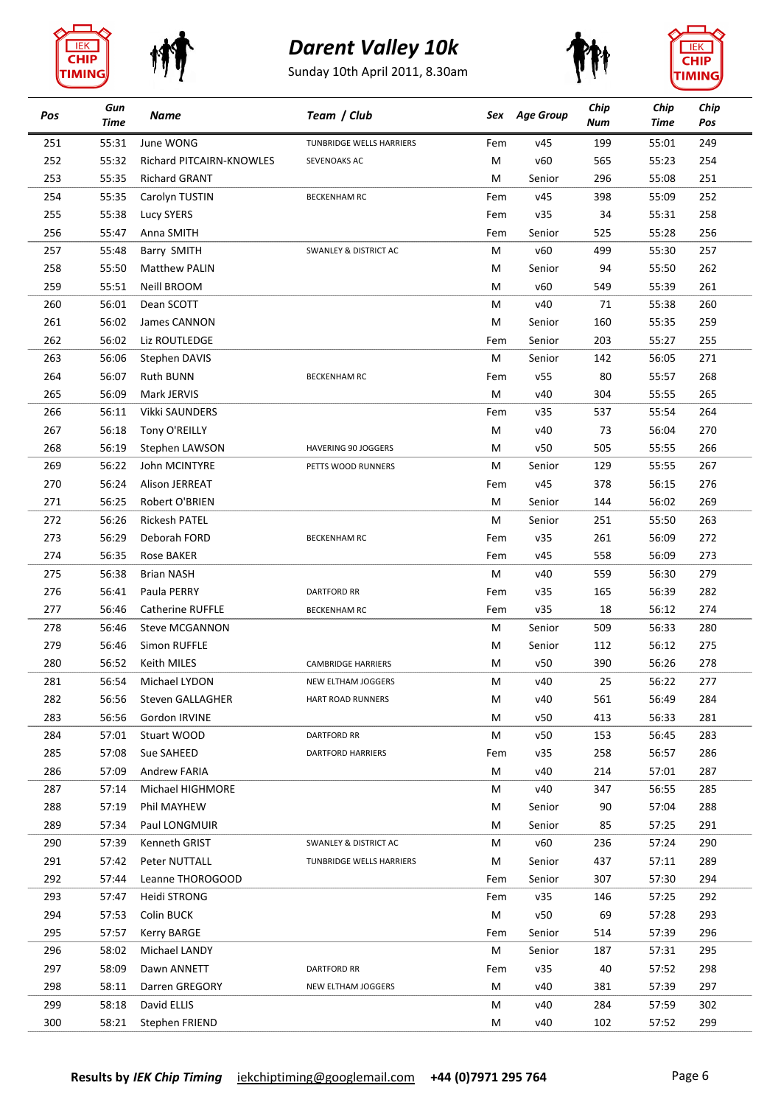







| Pos | Gun<br>Time | Name                     | Team / Club                      |     | Sex Age Group | Chip<br>Num | Chip<br>Time | Chip<br>Pos |
|-----|-------------|--------------------------|----------------------------------|-----|---------------|-------------|--------------|-------------|
| 251 | 55:31       | June WONG                | TUNBRIDGE WELLS HARRIERS         | Fem | v45           | 199         | 55:01        | 249         |
| 252 | 55:32       | Richard PITCAIRN-KNOWLES | SEVENOAKS AC                     | М   | v60           | 565         | 55:23        | 254         |
| 253 | 55:35       | <b>Richard GRANT</b>     |                                  | M   | Senior        | 296         | 55:08        | 251         |
| 254 | 55:35       | Carolyn TUSTIN           | <b>BECKENHAM RC</b>              | Fem | v45           | 398         | 55:09        | 252         |
| 255 | 55:38       | <b>Lucy SYERS</b>        |                                  | Fem | v35           | 34          | 55:31        | 258         |
| 256 | 55:47       | Anna SMITH               |                                  | Fem | Senior        | 525         | 55:28        | 256         |
| 257 | 55:48       | Barry SMITH              | <b>SWANLEY &amp; DISTRICT AC</b> | M   | v60           | 499         | 55:30        | 257         |
| 258 | 55:50       | <b>Matthew PALIN</b>     |                                  | М   | Senior        | 94          | 55:50        | 262         |
| 259 | 55:51       | Neill BROOM              |                                  | М   | v60           | 549         | 55:39        | 261         |
| 260 | 56:01       | Dean SCOTT               |                                  | М   | v40           | 71          | 55:38        | 260         |
| 261 | 56:02       | James CANNON             |                                  | М   | Senior        | 160         | 55:35        | 259         |
| 262 | 56:02       | Liz ROUTLEDGE            |                                  | Fem | Senior        | 203         | 55:27        | 255         |
| 263 | 56:06       | Stephen DAVIS            |                                  | M   | Senior        | 142         | 56:05        | 271         |
| 264 | 56:07       | <b>Ruth BUNN</b>         | <b>BECKENHAM RC</b>              | Fem | v55           | 80          | 55:57        | 268         |
| 265 | 56:09       | Mark JERVIS              |                                  | М   | v40           | 304         | 55:55        | 265         |
| 266 | 56:11       | Vikki SAUNDERS           |                                  | Fem | v35           | 537         | 55:54        | 264         |
| 267 | 56:18       | Tony O'REILLY            |                                  | М   | v40           | 73          | 56:04        | 270         |
| 268 | 56:19       | Stephen LAWSON           | <b>HAVERING 90 JOGGERS</b>       | м   | v50           | 505         | 55:55        | 266         |
| 269 | 56:22       | John MCINTYRE            | PETTS WOOD RUNNERS               | М   | Senior        | 129         | 55:55        | 267         |
| 270 | 56:24       | Alison JERREAT           |                                  | Fem | v45           | 378         | 56:15        | 276         |
| 271 | 56:25       | Robert O'BRIEN           |                                  | М   | Senior        | 144         | 56:02        | 269         |
| 272 | 56:26       | <b>Rickesh PATEL</b>     |                                  | М   | Senior        | 251         | 55:50        | 263         |
| 273 | 56:29       | Deborah FORD             | <b>BECKENHAM RC</b>              | Fem | v35           | 261         | 56:09        | 272         |
| 274 | 56:35       | <b>Rose BAKER</b>        |                                  | Fem | v45           | 558         | 56:09        | 273         |
| 275 | 56:38       | <b>Brian NASH</b>        |                                  | М   | v40           | 559         | 56:30        | 279         |
| 276 | 56:41       | Paula PERRY              | <b>DARTFORD RR</b>               | Fem | v35           | 165         | 56:39        | 282         |
| 277 | 56:46       | <b>Catherine RUFFLE</b>  | <b>BECKENHAM RC</b>              | Fem | v35           | 18          | 56:12        | 274         |
| 278 | 56:46       | <b>Steve MCGANNON</b>    |                                  | М   | Senior        | 509         | 56:33        | 280         |
| 279 | 56:46       | Simon RUFFLE             |                                  | M   | Senior        | 112         | 56:12        | 275         |
| 280 | 56:52       | Keith MILES              | <b>CAMBRIDGE HARRIERS</b>        | M   | v50           | 390         | 56:26        | 278         |
| 281 | 56:54       | Michael LYDON            | NEW ELTHAM JOGGERS               | M   | v40           | 25          | 56:22        | 277         |
| 282 | 56:56       | Steven GALLAGHER         | HART ROAD RUNNERS                | M   | v40           | 561         | 56:49        | 284         |
| 283 | 56:56       | Gordon IRVINE            |                                  | M   | v50           | 413         | 56:33        | 281         |
| 284 | 57:01       | Stuart WOOD              | <b>DARTFORD RR</b>               | M   | v50           | 153         | 56:45        | 283         |
| 285 | 57:08       | Sue SAHEED               | <b>DARTFORD HARRIERS</b>         | Fem | v35           | 258         | 56:57        | 286         |
| 286 | 57:09       | Andrew FARIA             |                                  | M   | v40           | 214         | 57:01        | 287         |
| 287 | 57:14       | Michael HIGHMORE         |                                  | M   | v40           | 347         | 56:55        | 285         |
| 288 | 57:19       | Phil MAYHEW              |                                  | М   | Senior        | 90          | 57:04        | 288         |
| 289 | 57:34       | Paul LONGMUIR            |                                  | М   | Senior        | 85          | 57:25        | 291         |
| 290 | 57:39       | Kenneth GRIST            | SWANLEY & DISTRICT AC            | М   | v60           | 236         | 57:24        | 290         |
| 291 | 57:42       | Peter NUTTALL            | TUNBRIDGE WELLS HARRIERS         | М   | Senior        | 437         | 57:11        | 289         |
| 292 | 57:44       | Leanne THOROGOOD         |                                  | Fem | Senior        | 307         | 57:30        | 294         |
| 293 | 57:47       | Heidi STRONG             |                                  | Fem | v35           | 146         | 57:25        | 292         |
| 294 | 57:53       | Colin BUCK               |                                  | M   | v50           | 69          | 57:28        | 293         |
| 295 | 57:57       | Kerry BARGE              |                                  | Fem | Senior        | 514         | 57:39        | 296         |
| 296 | 58:02       | Michael LANDY            |                                  | M   | Senior        | 187         | 57:31        | 295         |
| 297 | 58:09       | Dawn ANNETT              | <b>DARTFORD RR</b>               | Fem | v35           | 40          | 57:52        | 298         |
| 298 | 58:11       | Darren GREGORY           | NEW ELTHAM JOGGERS               | M   | v40           | 381         | 57:39        | 297         |
| 299 | 58:18       | David ELLIS              |                                  | М   | v40           | 284         | 57:59        | 302         |
| 300 |             |                          |                                  |     | v40           | 102         |              | 299         |
|     | 58:21       | Stephen FRIEND           |                                  | М   |               |             | 57:52        |             |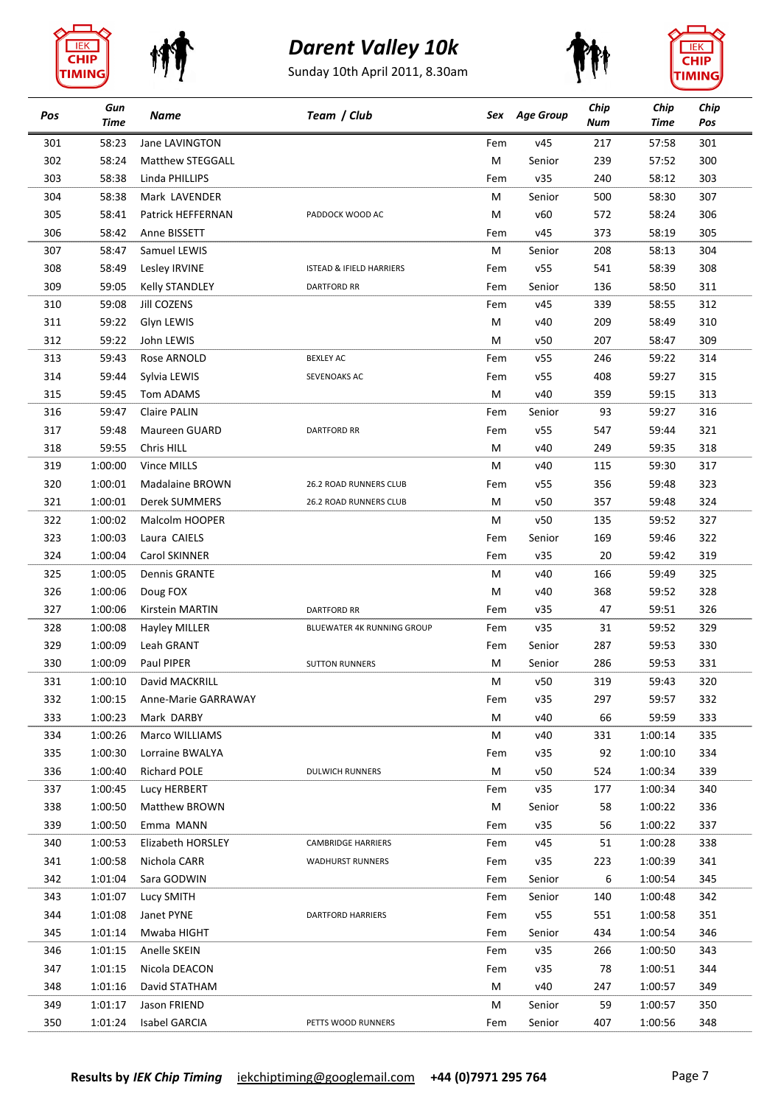







| Pos | Gun<br><b>Time</b> | Name                  | Team / Club                         |          | Sex Age Group | Chip<br>Num | Chip<br><b>Time</b> | Chip<br>Pos |
|-----|--------------------|-----------------------|-------------------------------------|----------|---------------|-------------|---------------------|-------------|
| 301 | 58:23              | Jane LAVINGTON        |                                     | Fem      | v45           | 217         | 57:58               | 301         |
| 302 | 58:24              | Matthew STEGGALL      |                                     | M        | Senior        | 239         | 57:52               | 300         |
| 303 | 58:38              | Linda PHILLIPS        |                                     | Fem      | v35           | 240         | 58:12               | 303         |
| 304 | 58:38              | Mark LAVENDER         |                                     | M        | Senior        | 500         | 58:30               | 307         |
| 305 | 58:41              | Patrick HEFFERNAN     | PADDOCK WOOD AC                     | M        | v60           | 572         | 58:24               | 306         |
| 306 | 58:42              | Anne BISSETT          |                                     | Fem      | v45           | 373         | 58:19               | 305         |
| 307 | 58:47              | Samuel LEWIS          |                                     | M        | Senior        | 208         | 58:13               | 304         |
| 308 | 58:49              | Lesley IRVINE         | <b>ISTEAD &amp; IFIELD HARRIERS</b> | Fem      | v55           | 541         | 58:39               | 308         |
| 309 | 59:05              | <b>Kelly STANDLEY</b> | <b>DARTFORD RR</b>                  | Fem      | Senior        | 136         | 58:50               | 311         |
| 310 | 59:08              | Jill COZENS           |                                     | Fem      | v45           | 339         | 58:55               | 312         |
| 311 | 59:22              | Glyn LEWIS            |                                     | M        | v40           | 209         | 58:49               | 310         |
| 312 | 59:22              | John LEWIS            |                                     | М        | v50           | 207         | 58:47               | 309         |
| 313 | 59:43              | Rose ARNOLD           | <b>BEXLEY AC</b>                    | Fem      | v55           | 246         | 59:22               | 314         |
| 314 | 59:44              | Sylvia LEWIS          | SEVENOAKS AC                        | Fem      | v55           | 408         | 59:27               | 315         |
| 315 | 59:45              | Tom ADAMS             |                                     | M        | v40           | 359         | 59:15               | 313         |
| 316 | 59:47              | Claire PALIN          |                                     | Fem      | Senior        | 93          | 59:27               | 316         |
| 317 | 59:48              | Maureen GUARD         | <b>DARTFORD RR</b>                  | Fem      | v55           | 547         | 59:44               | 321         |
| 318 | 59:55              | Chris HILL            |                                     | M        | v40           | 249         | 59:35               | 318         |
| 319 | 1:00:00            | Vince MILLS           |                                     | M        | v40           | 115         | 59:30               | 317         |
| 320 | 1:00:01            | Madalaine BROWN       | 26.2 ROAD RUNNERS CLUB              | Fem      | v55           | 356         | 59:48               | 323         |
| 321 | 1:00:01            | Derek SUMMERS         | 26.2 ROAD RUNNERS CLUB              | M        | v50           | 357         | 59:48               | 324         |
| 322 | 1:00:02            | Malcolm HOOPER        |                                     | M        | v50           | 135         | 59:52               | 327         |
| 323 | 1:00:03            | Laura CAIELS          |                                     | Fem      | Senior        | 169         | 59:46               | 322         |
| 324 | 1:00:04            | Carol SKINNER         |                                     |          | v35           | 20          | 59:42               | 319         |
| 325 | 1:00:05            | <b>Dennis GRANTE</b>  |                                     | Fem<br>M | v40           | 166         | 59:49               | 325         |
|     |                    |                       |                                     |          |               |             |                     |             |
| 326 | 1:00:06            | Doug FOX              |                                     | M        | v40           | 368         | 59:52               | 328         |
| 327 | 1:00:06            | Kirstein MARTIN       | <b>DARTFORD RR</b>                  | Fem      | v35           | 47          | 59:51               | 326         |
| 328 | 1:00:08            | Hayley MILLER         | BLUEWATER 4K RUNNING GROUP          | Fem      | v35           | 31          | 59:52               | 329         |
| 329 | 1:00:09            | Leah GRANT            |                                     | Fem      | Senior        | 287         | 59:53               | 330         |
| 330 | 1:00:09            | Paul PIPER            | <b>SUTTON RUNNERS</b>               | M        | Senior        | 286         | 59:53               | 331         |
| 331 | 1:00:10            | David MACKRILL        |                                     | M        | v50           | 319         | 59:43               | 320         |
| 332 | 1:00:15            | Anne-Marie GARRAWAY   |                                     | Fem      | v35           | 297         | 59:57               | 332         |
| 333 | 1:00:23            | Mark DARBY            |                                     | M        | v40           | 66          | 59:59               | 333         |
| 334 | 1:00:26            | Marco WILLIAMS        |                                     | M        | v40           | 331         | 1:00:14             | 335         |
| 335 | 1:00:30            | Lorraine BWALYA       |                                     | Fem      | v35           | 92          | 1:00:10             | 334         |
| 336 | 1:00:40            | <b>Richard POLE</b>   | <b>DULWICH RUNNERS</b>              | M        | v50           | 524         | 1:00:34             | 339         |
| 337 | 1:00:45            | Lucy HERBERT          |                                     | Fem      | v35           | 177         | 1:00:34             | 340         |
| 338 | 1:00:50            | Matthew BROWN         |                                     | M        | Senior        | 58          | 1:00:22             | 336         |
| 339 | 1:00:50            | Emma MANN             |                                     | Fem      | v35           | 56          | 1:00:22             | 337         |
| 340 | 1:00:53            | Elizabeth HORSLEY     | <b>CAMBRIDGE HARRIERS</b>           | Fem      | v45           | 51          | 1:00:28             | 338         |
| 341 | 1:00:58            | Nichola CARR          | <b>WADHURST RUNNERS</b>             | Fem      | v35           | 223         | 1:00:39             | 341         |
| 342 | 1:01:04            | Sara GODWIN           |                                     | Fem      | Senior        | 6           | 1:00:54             | 345         |
| 343 | 1:01:07            | Lucy SMITH            |                                     | Fem      | Senior        | 140         | 1:00:48             | 342         |
| 344 | 1:01:08            | Janet PYNE            | <b>DARTFORD HARRIERS</b>            | Fem      | v55           | 551         | 1:00:58             | 351         |
| 345 | 1:01:14            | Mwaba HIGHT           |                                     | Fem      | Senior        | 434         | 1:00:54             | 346         |
| 346 | 1:01:15            | Anelle SKEIN          |                                     | Fem      | v35           | 266         | 1:00:50             | 343         |
| 347 | 1:01:15            | Nicola DEACON         |                                     | Fem      | v35           | 78          | 1:00:51             | 344         |
| 348 | 1:01:16            | David STATHAM         |                                     | M        | v40           | 247         | 1:00:57             | 349         |
| 349 | 1:01:17            | Jason FRIEND          |                                     | M        | Senior        | 59          | 1:00:57             | 350         |
| 350 | 1:01:24            | Isabel GARCIA         | PETTS WOOD RUNNERS                  | Fem      | Senior        | 407         | 1:00:56             | 348         |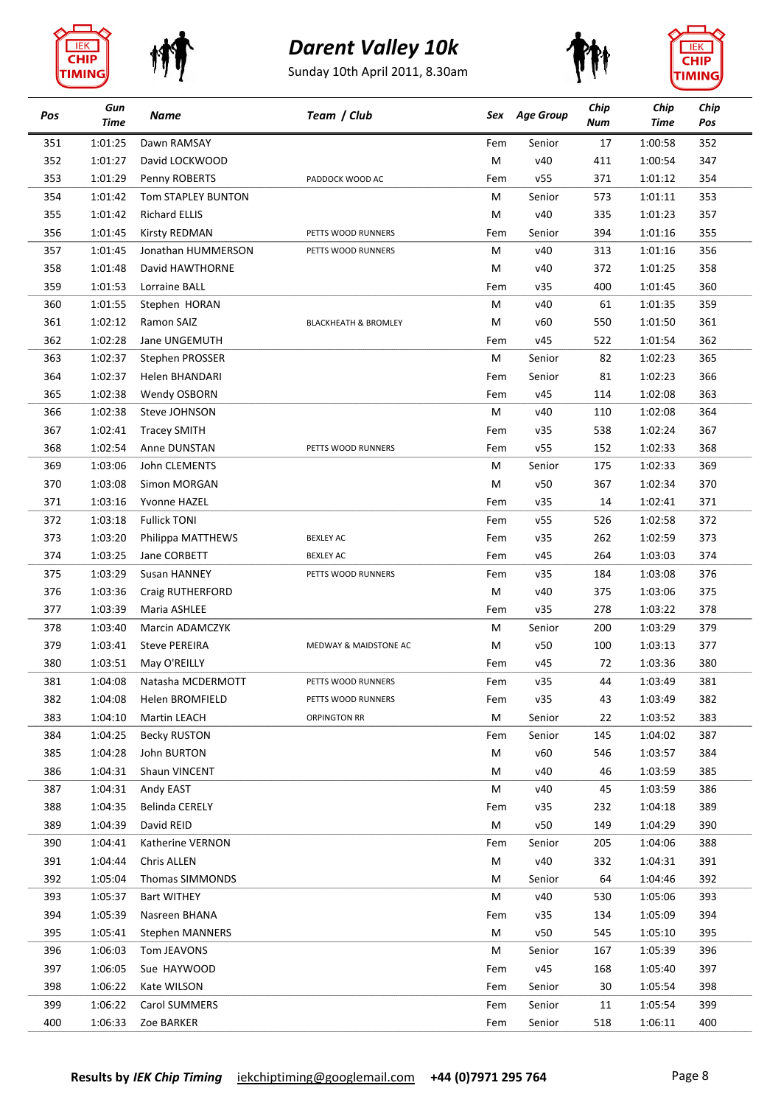







| Pos | Gun<br><b>Time</b> | Name                 | Team / Club                     | Sex | <b>Age Group</b> | Chip<br>Num | Chip<br><b>Time</b> | Chip<br>Pos |
|-----|--------------------|----------------------|---------------------------------|-----|------------------|-------------|---------------------|-------------|
| 351 | 1:01:25            | Dawn RAMSAY          |                                 | Fem | Senior           | 17          | 1:00:58             | 352         |
| 352 | 1:01:27            | David LOCKWOOD       |                                 | M   | v40              | 411         | 1:00:54             | 347         |
| 353 | 1:01:29            | Penny ROBERTS        | PADDOCK WOOD AC                 | Fem | v55              | 371         | 1:01:12             | 354         |
| 354 | 1:01:42            | Tom STAPLEY BUNTON   |                                 | M   | Senior           | 573         | 1:01:11             | 353         |
| 355 | 1:01:42            | <b>Richard ELLIS</b> |                                 | M   | v40              | 335         | 1:01:23             | 357         |
| 356 | 1:01:45            | Kirsty REDMAN        | PETTS WOOD RUNNERS              | Fem | Senior           | 394         | 1:01:16             | 355         |
| 357 | 1:01:45            | Jonathan HUMMERSON   | PETTS WOOD RUNNERS              | M   | v40              | 313         | 1:01:16             | 356         |
| 358 | 1:01:48            | David HAWTHORNE      |                                 | M   | v40              | 372         | 1:01:25             | 358         |
| 359 | 1:01:53            | Lorraine BALL        |                                 | Fem | v35              | 400         | 1:01:45             | 360         |
| 360 | 1:01:55            | Stephen HORAN        |                                 | M   | v40              | 61          | 1:01:35             | 359         |
| 361 | 1:02:12            | Ramon SAIZ           | <b>BLACKHEATH &amp; BROMLEY</b> | M   | v60              | 550         | 1:01:50             | 361         |
| 362 | 1:02:28            | Jane UNGEMUTH        |                                 | Fem | v45              | 522         | 1:01:54             | 362         |
| 363 | 1:02:37            | Stephen PROSSER      |                                 | M   | Senior           | 82          | 1:02:23             | 365         |
| 364 | 1:02:37            | Helen BHANDARI       |                                 | Fem | Senior           | 81          | 1:02:23             | 366         |
| 365 | 1:02:38            | Wendy OSBORN         |                                 | Fem | v45              | 114         | 1:02:08             | 363         |
| 366 | 1:02:38            | Steve JOHNSON        |                                 | M   | v40              | 110         | 1:02:08             | 364         |
| 367 | 1:02:41            | <b>Tracey SMITH</b>  |                                 | Fem | v35              | 538         | 1:02:24             | 367         |
| 368 | 1:02:54            | Anne DUNSTAN         | PETTS WOOD RUNNERS              | Fem | v55              | 152         | 1:02:33             | 368         |
| 369 | 1:03:06            | John CLEMENTS        |                                 | M   | Senior           | 175         | 1:02:33             | 369         |
| 370 | 1:03:08            | Simon MORGAN         |                                 | M   | v50              | 367         | 1:02:34             | 370         |
| 371 | 1:03:16            | Yvonne HAZEL         |                                 | Fem | v35              | 14          | 1:02:41             | 371         |
| 372 | 1:03:18            | <b>Fullick TONI</b>  |                                 | Fem | v55              | 526         | 1:02:58             | 372         |
| 373 | 1:03:20            | Philippa MATTHEWS    | <b>BEXLEY AC</b>                | Fem | v35              | 262         | 1:02:59             | 373         |
| 374 | 1:03:25            | Jane CORBETT         | <b>BEXLEY AC</b>                | Fem | v45              | 264         | 1:03:03             | 374         |
| 375 | 1:03:29            | Susan HANNEY         | PETTS WOOD RUNNERS              | Fem | v35              | 184         | 1:03:08             | 376         |
| 376 | 1:03:36            | Craig RUTHERFORD     |                                 | M   | v40              | 375         | 1:03:06             | 375         |
| 377 | 1:03:39            | Maria ASHLEE         |                                 | Fem | v35              | 278         | 1:03:22             | 378         |
| 378 | 1:03:40            | Marcin ADAMCZYK      |                                 | M   | Senior           | 200         | 1:03:29             | 379         |
| 379 | 1:03:41            | <b>Steve PEREIRA</b> | MEDWAY & MAIDSTONE AC           | M   | v50              | 100         | 1:03:13             | 377         |
| 380 | 1:03:51            | May O'REILLY         |                                 | Fem | v45              | 72          | 1:03:36             | 380         |
| 381 | 1:04:08            | Natasha MCDERMOTT    | PETTS WOOD RUNNERS              | Fem | v35              | 44          | 1:03:49             | 381         |
| 382 | 1:04:08            | Helen BROMFIELD      | PETTS WOOD RUNNERS              | Fem | v35              | 43          | 1:03:49             | 382         |
| 383 | 1:04:10            | Martin LEACH         | ORPINGTON RR                    | M   | Senior           | 22          | 1:03:52             | 383         |
| 384 | 1:04:25            | <b>Becky RUSTON</b>  |                                 | Fem | Senior           | 145         | 1:04:02             | 387         |
| 385 | 1:04:28            | John BURTON          |                                 | М   | v60              | 546         | 1:03:57             | 384         |
| 386 | 1:04:31            | Shaun VINCENT        |                                 | M   | v40              | 46          | 1:03:59             | 385         |
| 387 | 1:04:31            | Andy EAST            |                                 | M   | v40              | 45          | 1:03:59             | 386         |
| 388 | 1:04:35            | Belinda CERELY       |                                 | Fem | v35              | 232         | 1:04:18             | 389         |
| 389 | 1:04:39            | David REID           |                                 | M   | v50              | 149         | 1:04:29             | 390         |
| 390 | 1:04:41            | Katherine VERNON     |                                 | Fem | Senior           | 205         | 1:04:06             | 388         |
| 391 | 1:04:44            | Chris ALLEN          |                                 | М   | v40              | 332         | 1:04:31             | 391         |
| 392 | 1:05:04            | Thomas SIMMONDS      |                                 | М   | Senior           | 64          | 1:04:46             | 392         |
| 393 | 1:05:37            | <b>Bart WITHEY</b>   |                                 | M   | v40              | 530         | 1:05:06             | 393         |
| 394 | 1:05:39            | Nasreen BHANA        |                                 | Fem | v35              | 134         | 1:05:09             | 394         |
| 395 | 1:05:41            | Stephen MANNERS      |                                 | M   | v50              | 545         | 1:05:10             | 395         |
| 396 | 1:06:03            | Tom JEAVONS          |                                 | M   | Senior           | 167         | 1:05:39             | 396         |
| 397 | 1:06:05            | Sue HAYWOOD          |                                 | Fem | v45              | 168         | 1:05:40             | 397         |
| 398 | 1:06:22            | Kate WILSON          |                                 | Fem | Senior           | 30          | 1:05:54             | 398         |
| 399 | 1:06:22            | Carol SUMMERS        |                                 | Fem | Senior           | 11          | 1:05:54             | 399         |
| 400 | 1:06:33            | Zoe BARKER           |                                 | Fem | Senior           | 518         | 1:06:11             | 400         |
|     |                    |                      |                                 |     |                  |             |                     |             |